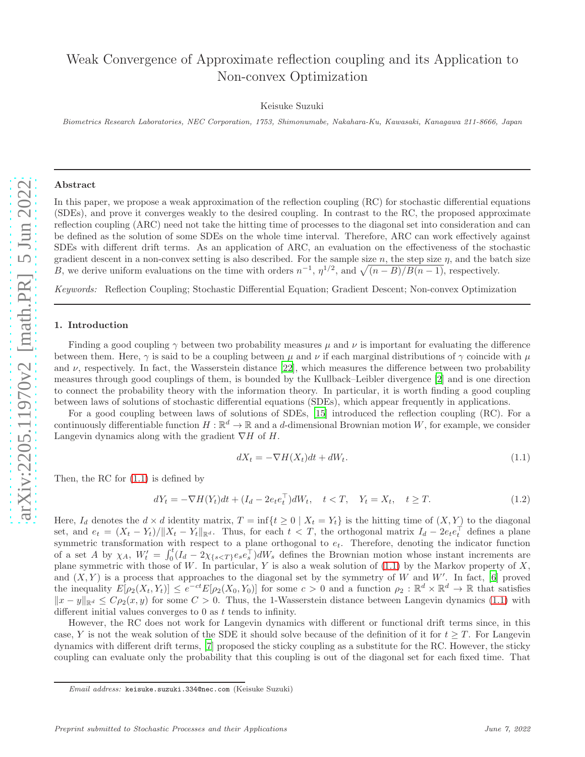# Weak Convergence of Approximate reflection coupling and its Application to Non-convex Optimization

Keisuke Suzuki

Biometrics Research Laboratories, NEC Corporation, 1753, Shimonumabe, Nakahara-Ku, Kawasaki, Kanagawa 211-8666, Japan

# Abstract

In this paper, we propose a weak approximation of the reflection coupling (RC) for stochastic differential equations (SDEs), and prove it converges weakly to the desired coupling. In contrast to the RC, the proposed approximate reflection coupling (ARC) need not take the hitting time of processes to the diagonal set into consideration and can be defined as the solution of some SDEs on the whole time interval. Therefore, ARC can work effectively against SDEs with different drift terms. As an application of ARC, an evaluation on the effectiveness of the stochastic gradient descent in a non-convex setting is also described. For the sample size  $n$ , the step size  $\eta$ , and the batch size B, we derive uniform evaluations on the time with orders  $n^{-1}$ ,  $\eta^{1/2}$ , and  $\sqrt{(n-B)/B(n-1)}$ , respectively.

Keywords: Reflection Coupling; Stochastic Differential Equation; Gradient Descent; Non-convex Optimization

#### 1. Introduction

Finding a good coupling  $\gamma$  between two probability measures  $\mu$  and  $\nu$  is important for evaluating the difference between them. Here,  $\gamma$  is said to be a coupling between  $\mu$  and  $\nu$  if each marginal distributions of  $\gamma$  coincide with  $\mu$ and  $\nu$ , respectively. In fact, the Wasserstein distance [\[22](#page-20-0)], which measures the difference between two probability measures through good couplings of them, is bounded by the Kullback–Leibler divergence [\[2\]](#page-19-0) and is one direction to connect the probability theory with the information theory. In particular, it is worth finding a good coupling between laws of solutions of stochastic differential equations (SDEs), which appear frequently in applications.

For a good coupling between laws of solutions of SDEs, [\[15\]](#page-19-1) introduced the reflection coupling (RC). For a continuously differentiable function  $H: \mathbb{R}^d \to \mathbb{R}$  and a d-dimensional Brownian motion W, for example, we consider Langevin dynamics along with the gradient  $\nabla H$  of H.

<span id="page-0-0"></span>
$$
dX_t = -\nabla H(X_t)dt + dW_t.
$$
\n(1.1)

Then, the RC for [\(1.1\)](#page-0-0) is defined by

$$
dY_t = -\nabla H(Y_t)dt + (I_d - 2e_t e_t^\top)dW_t, \quad t < T, \quad Y_t = X_t, \quad t \geq T. \tag{1.2}
$$

Here,  $I_d$  denotes the  $d \times d$  identity matrix,  $T = \inf\{t \geq 0 \mid X_t = Y_t\}$  is the hitting time of  $(X, Y)$  to the diagonal set, and  $e_t = (X_t - Y_t) / \|X_t - Y_t\|_{\mathbb{R}^d}$ . Thus, for each  $t < T$ , the orthogonal matrix  $I_d - 2e_t e_t^{\top}$  defines a plane symmetric transformation with respect to a plane orthogonal to  $e_t$ . Therefore, denoting the indicator function of a set A by  $\chi_A$ ,  $W'_t = \int_0^t$  $\int_0^t (I_d - 2\chi_{\{s < T\}} e_s e_s^{\top}) dW_s$  defines the Brownian motion whose instant increments are plane symmetric with those of W. In particular, Y is also a weak solution of  $(1.1)$  by the Markov property of X, and  $(X, Y)$  is a process that approaches to the diagonal set by the symmetry of W and W'. In fact, [\[6](#page-19-2)] proved the inequality  $E[\rho_2(X_t, Y_t)] \leq e^{-ct} E[\rho_2(X_0, Y_0)]$  for some  $c > 0$  and a function  $\rho_2 : \mathbb{R}^d \times \mathbb{R}^d \to \mathbb{R}$  that satisfies  $||x-y||_{\mathbb{R}^d} \leq C \rho_2(x, y)$  for some  $C > 0$ . Thus, the 1-Wasserstein distance between Langevin dynamics [\(1.1\)](#page-0-0) with different initial values converges to 0 as t tends to infinity.

However, the RC does not work for Langevin dynamics with different or functional drift terms since, in this case, Y is not the weak solution of the SDE it should solve because of the definition of it for  $t \geq T$ . For Langevin dynamics with different drift terms, [\[7\]](#page-19-3) proposed the sticky coupling as a substitute for the RC. However, the sticky coupling can evaluate only the probability that this coupling is out of the diagonal set for each fixed time. That

Email address: keisuke.suzuki.334@nec.com (Keisuke Suzuki)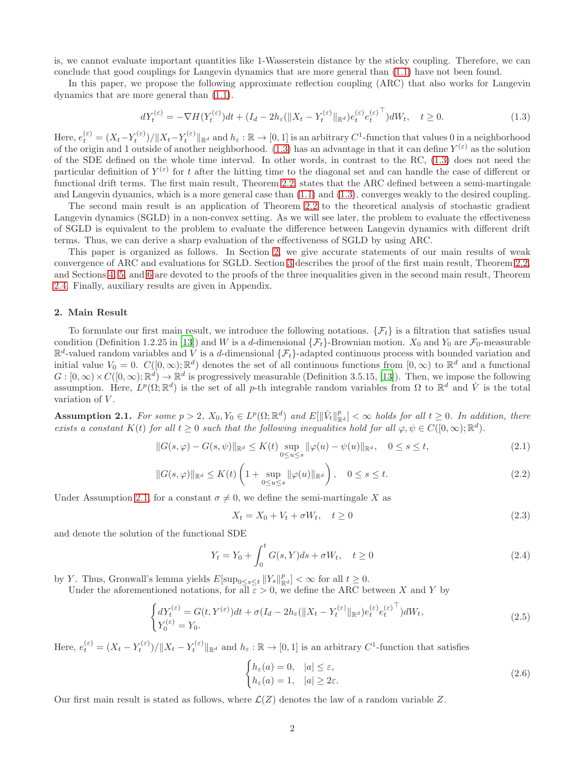is, we cannot evaluate important quantities like 1-Wasserstein distance by the sticky coupling. Therefore, we can conclude that good couplings for Langevin dynamics that are more general than [\(1.1\)](#page-0-0) have not been found.

In this paper, we propose the following approximate reflection coupling (ARC) that also works for Langevin dynamics that are more general than [\(1.1\)](#page-0-0).

<span id="page-1-0"></span>
$$
dY_t^{(\varepsilon)} = -\nabla H(Y_t^{(\varepsilon)})dt + (I_d - 2h_{\varepsilon}(\|X_t - Y_t^{(\varepsilon)}\|_{\mathbb{R}^d})e_t^{(\varepsilon)}e_t^{(\varepsilon)^{\top}})dW_t, \quad t \ge 0.
$$
\n(1.3)

Here,  $e_t^{(\varepsilon)} = (X_t - Y_t^{(\varepsilon)})/||X_t - Y_t^{(\varepsilon)}||_{\mathbb{R}^d}$  and  $h_{\varepsilon} : \mathbb{R} \to [0, 1]$  is an arbitrary  $C^1$ -function that values 0 in a neighborhood of the origin and 1 outside of another neighborhood.  $(1.3)$  has an advantage in that it can define  $Y^{(\varepsilon)}$  as the solution of the SDE defined on the whole time interval. In other words, in contrast to the RC, [\(1.3\)](#page-1-0) does not need the particular definition of  $Y^{(\varepsilon)}$  for t after the hitting time to the diagonal set and can handle the case of different or functional drift terms. The first main result, Theorem [2.2,](#page-2-0) states that the ARC defined between a semi-martingale and Langevin dynamics, which is a more general case than [\(1.1\)](#page-0-0) and [\(1.3\)](#page-1-0), converges weakly to the desired coupling.

The second main result is an application of Theorem [2.2](#page-2-0) to the theoretical analysis of stochastic gradient Langevin dynamics (SGLD) in a non-convex setting. As we will see later, the problem to evaluate the effectiveness of SGLD is equivalent to the problem to evaluate the difference between Langevin dynamics with different drift terms. Thus, we can derive a sharp evaluation of the effectiveness of SGLD by using ARC.

This paper is organized as follows. In Section [2,](#page-1-1) we give accurate statements of our main results of weak convergence of ARC and evaluations for SGLD. Section [3](#page-3-0) describes the proof of the first main result, Theorem [2.2,](#page-2-0) and Sections [4,](#page-5-0) [5,](#page-10-0) and [6](#page-11-0) are devoted to the proofs of the three inequalities given in the second main result, Theorem [2.4.](#page-2-1) Finally, auxiliary results are given in Appendix.

#### <span id="page-1-1"></span>2. Main Result

To formulate our first main result, we introduce the following notations.  $\{\mathcal{F}_t\}$  is a filtration that satisfies usual condition (Definition 1.2.25 in [\[13](#page-19-4)]) and W is a d-dimensional  $\{\mathcal{F}_t\}$ -Brownian motion.  $X_0$  and  $Y_0$  are  $\mathcal{F}_0$ -measurable  $\mathbb{R}^d$ -valued random variables and V is a d-dimensional  $\{\mathcal{F}_t\}$ -adapted continuous process with bounded variation and initial value  $V_0 = 0$ .  $C([0,\infty);\mathbb{R}^d)$  denotes the set of all continuous functions from  $[0,\infty)$  to  $\mathbb{R}^d$  and a functional  $G: [0, \infty) \times C([0, \infty); \mathbb{R}^d] \to \mathbb{R}^d$  is progressively measurable (Definition 3.5.15, [\[13\]](#page-19-4)). Then, we impose the following assumption. Here,  $L^p(\Omega;\mathbb{R}^d)$  is the set of all p-th integrable random variables from  $\Omega$  to  $\mathbb{R}^d$  and  $\check{V}$  is the total variation of  $V$ .

<span id="page-1-2"></span>**Assumption 2.1.** For some  $p > 2$ ,  $X_0, Y_0 \in L^p(\Omega; \mathbb{R}^d)$  and  $E[\|\check{V}_t\|_{\mathbb{R}^d}^p] < \infty$  holds for all  $t \geq 0$ . In addition, there exists a constant  $K(t)$  for all  $t \geq 0$  such that the following inequalities hold for all  $\varphi, \psi \in C([0,\infty);\mathbb{R}^d)$ .

$$
||G(s,\varphi) - G(s,\psi)||_{\mathbb{R}^d} \le K(t) \sup_{0 \le u \le s} ||\varphi(u) - \psi(u)||_{\mathbb{R}^d}, \quad 0 \le s \le t,
$$
\n(2.1)

$$
||G(s,\varphi)||_{\mathbb{R}^d} \le K(t) \left(1 + \sup_{0 \le u \le s} ||\varphi(u)||_{\mathbb{R}^d}\right), \quad 0 \le s \le t.
$$
\n(2.2)

Under Assumption [2.1,](#page-1-2) for a constant  $\sigma \neq 0$ , we define the semi-martingale X as

<span id="page-1-6"></span><span id="page-1-5"></span><span id="page-1-3"></span>
$$
X_t = X_0 + V_t + \sigma W_t, \quad t \ge 0 \tag{2.3}
$$

and denote the solution of the functional SDE

$$
Y_t = Y_0 + \int_0^t G(s, Y)ds + \sigma W_t, \quad t \ge 0
$$
\n(2.4)

by Y. Thus, Gronwall's lemma yields  $E[\sup_{0 \le s \le t} ||Y_s||_{\mathbb{R}^d}^p] < \infty$  for all  $t \ge 0$ .

Under the aforementioned notations, for all  $\varepsilon > 0$ , we define the ARC between X and Y by

$$
\begin{cases} dY_t^{(\varepsilon)} = G(t, Y^{(\varepsilon)})dt + \sigma(I_d - 2h_{\varepsilon}(\|X_t - Y_t^{(\varepsilon)}\|_{\mathbb{R}^d})e_t^{(\varepsilon)}e_t^{(\varepsilon)^{\top}})dW_t, \\ Y_0^{(\varepsilon)} = Y_0. \end{cases}
$$
(2.5)

Here,  $e_t^{(\varepsilon)} = (X_t - Y_t^{(\varepsilon)})/||X_t - Y_t^{(\varepsilon)}||_{\mathbb{R}^d}$  and  $h_{\varepsilon} : \mathbb{R} \to [0,1]$  is an arbitrary C<sup>1</sup>-function that satisfies

<span id="page-1-4"></span>
$$
\begin{cases} h_{\varepsilon}(a) = 0, & |a| \le \varepsilon, \\ h_{\varepsilon}(a) = 1, & |a| \ge 2\varepsilon. \end{cases}
$$
 (2.6)

Our first main result is stated as follows, where  $\mathcal{L}(Z)$  denotes the law of a random variable Z.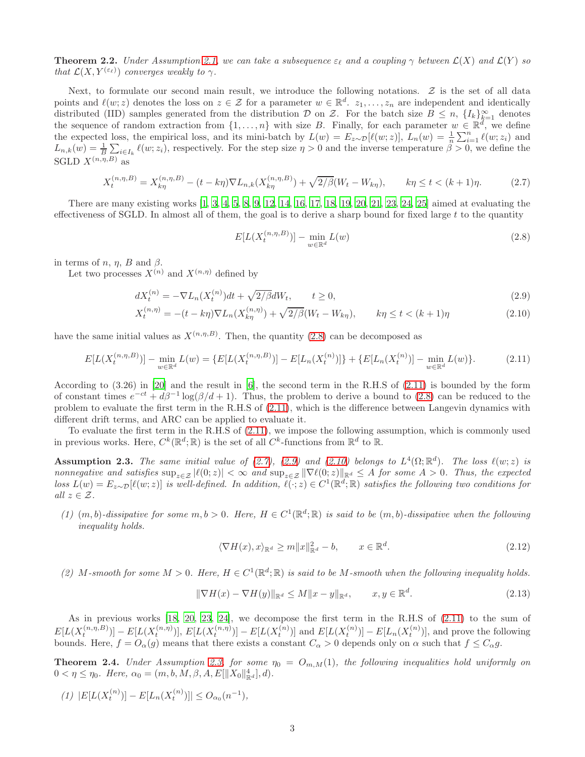<span id="page-2-0"></span>**Theorem 2.2.** Under Assumption [2.1,](#page-1-2) we can take a subsequence  $\varepsilon_\ell$  and a coupling  $\gamma$  between  $\mathcal{L}(X)$  and  $\mathcal{L}(Y)$  so that  $\mathcal{L}(X, Y^{(\varepsilon_{\ell})})$  converges weakly to  $\gamma$ .

Next, to formulate our second main result, we introduce the following notations.  $\mathcal Z$  is the set of all data points and  $\ell(w; z)$  denotes the loss on  $z \in \mathcal{Z}$  for a parameter  $w \in \mathbb{R}^d$ .  $z_1, \ldots, z_n$  are independent and identically distributed (IID) samples generated from the distribution D on Z. For the batch size  $B \leq n$ ,  $\{I_k\}_{k=1}^{\infty}$  denotes the sequence of random extraction from  $\{1,\ldots,n\}$  with size B. Finally, for each parameter  $w \in \mathbb{R}^d$ , we define the expected loss, the empirical loss, and its mini-batch by  $L(w) = E_{z \sim \mathcal{D}}[\ell(w; z)]$ ,  $L_n(w) = \frac{1}{n} \sum_{i=1}^n \ell(w; z_i)$  and  $L_{n,k}(w) = \frac{1}{B} \sum_{i \in I_k} \ell(w; z_i)$ , respectively. For the step size  $\eta > 0$  and the inverse temperature  $\beta > 0$ , we define the SGLD  $X^{(n,\eta,B)}$  as

$$
X_t^{(n,\eta,B)} = X_{k\eta}^{(n,\eta,B)} - (t - k\eta)\nabla L_{n,k}(X_{k\eta}^{(n,\eta,B)}) + \sqrt{2/\beta}(W_t - W_{k\eta}), \qquad k\eta \le t < (k+1)\eta. \tag{2.7}
$$

There are many existing works [\[1,](#page-19-5) [3,](#page-19-6) [4](#page-19-7), [5](#page-19-8), [8](#page-19-9), [9](#page-19-10), [12](#page-19-11), [14](#page-19-12), [16](#page-19-13), [17,](#page-19-14) [18,](#page-19-15) [19,](#page-19-16) [20,](#page-20-1) [21,](#page-20-2) [23,](#page-20-3) [24,](#page-20-4) [25\]](#page-20-5) aimed at evaluating the effectiveness of SGLD. In almost all of them, the goal is to derive a sharp bound for fixed large  $t$  to the quantity

<span id="page-2-6"></span><span id="page-2-5"></span><span id="page-2-4"></span><span id="page-2-3"></span><span id="page-2-2"></span>
$$
E[L(X_t^{(n,\eta,B)})] - \min_{w \in \mathbb{R}^d} L(w)
$$
\n(2.8)

in terms of *n*, *n*, *B* and  $\beta$ .

Let two processes  $X^{(n)}$  and  $X^{(n,\eta)}$  defined by

$$
dX_t^{(n)} = -\nabla L_n(X_t^{(n)})dt + \sqrt{2/\beta}dW_t, \qquad t \ge 0,
$$
\n(2.9)

$$
X_t^{(n,\eta)} = -(t - k\eta)\nabla L_n(X_{k\eta}^{(n,\eta)}) + \sqrt{2/\beta}(W_t - W_{k\eta}), \qquad k\eta \le t < (k+1)\eta \tag{2.10}
$$

have the same initial values as  $X^{(n,\eta,B)}$ . Then, the quantity [\(2.8\)](#page-2-2) can be decomposed as

$$
E[L(X_t^{(n,\eta,B)})] - \min_{w \in \mathbb{R}^d} L(w) = \{E[L(X_t^{(n,\eta,B)})] - E[L_n(X_t^{(n)})]\} + \{E[L_n(X_t^{(n)})] - \min_{w \in \mathbb{R}^d} L(w)\}.
$$
 (2.11)

According to (3.26) in [\[20\]](#page-20-1) and the result in [\[6\]](#page-19-2), the second term in the R.H.S of [\(2.11\)](#page-2-3) is bounded by the form of constant times  $e^{-ct} + d\beta^{-1} \log(\beta/d + 1)$ . Thus, the problem to derive a bound to [\(2.8\)](#page-2-2) can be reduced to the problem to evaluate the first term in the R.H.S of [\(2.11\)](#page-2-3), which is the difference between Langevin dynamics with different drift terms, and ARC can be applied to evaluate it.

To evaluate the first term in the R.H.S of [\(2.11\)](#page-2-3), we impose the following assumption, which is commonly used in previous works. Here,  $C^k(\mathbb{R}^d;\mathbb{R})$  is the set of all  $C^k$ -functions from  $\mathbb{R}^d$  to  $\mathbb{R}$ .

<span id="page-2-7"></span>**Assumption 2.3.** The same initial value of [\(2.7\)](#page-2-4), [\(2.9\)](#page-2-5) and [\(2.10\)](#page-2-6) belongs to  $L^4(\Omega;\mathbb{R}^d)$ . The loss  $\ell(w; z)$  is nonnegative and satisfies  $\sup_{z\in\mathcal{Z}}|\ell(0;z)| < \infty$  and  $\sup_{z\in\mathcal{Z}}\|\nabla\ell(0;z)\|_{\mathbb{R}^d} \leq A$  for some  $A > 0$ . Thus, the expected  $loss L(w) = E_{z\sim\mathcal{D}}[\ell(w;z)]$  is well-defined. In addition,  $\ell(\cdot;z) \in C^1(\mathbb{R}^d;\mathbb{R})$  satisfies the following two conditions for all  $z \in \mathcal{Z}$ .

(1)  $(m, b)$ -dissipative for some  $m, b > 0$ . Here,  $H \in C^1(\mathbb{R}^d; \mathbb{R})$  is said to be  $(m, b)$ -dissipative when the following inequality holds.

$$
\langle \nabla H(x), x \rangle_{\mathbb{R}^d} \ge m \|x\|_{\mathbb{R}^d}^2 - b, \qquad x \in \mathbb{R}^d. \tag{2.12}
$$

(2) M-smooth for some  $M > 0$ . Here,  $H \in C^1(\mathbb{R}^d; \mathbb{R})$  is said to be M-smooth when the following inequality holds.

$$
\|\nabla H(x) - \nabla H(y)\|_{\mathbb{R}^d} \le M \|x - y\|_{\mathbb{R}^d}, \qquad x, y \in \mathbb{R}^d. \tag{2.13}
$$

As in previous works [\[18,](#page-19-15) [20,](#page-20-1) [23](#page-20-3), [24\]](#page-20-4), we decompose the first term in the R.H.S of [\(2.11\)](#page-2-3) to the sum of  $E[L(X_t^{(n,\eta,B)})] - E[L(X_t^{(n,\eta)})], E[L(X_t^{(n,\eta)})] - E[L(X_t^{(n)})]$  and  $E[L(X_t^{(n)})] - E[L_n(X_t^{(n)})],$  and prove the following bounds. Here,  $f = O_{\alpha}(g)$  means that there exists a constant  $C_{\alpha} > 0$  depends only on  $\alpha$  such that  $f \leq C_{\alpha}g$ .

<span id="page-2-1"></span>**Theorem 2.4.** Under Assumption [2.3,](#page-2-7) for some  $\eta_0 = O_{m,M}(1)$ , the following inequalities hold uniformly on  $0 < \eta \leq \eta_0$ . Here,  $\alpha_0 = (m, b, M, \beta, A, E[\|X_0\|_{\mathbb{R}^d}^4], d)$ .

(1)  $|E[L(X_t^{(n)})] - E[L_n(X_t^{(n)})]| \leq O_{\alpha_0}(n^{-1}),$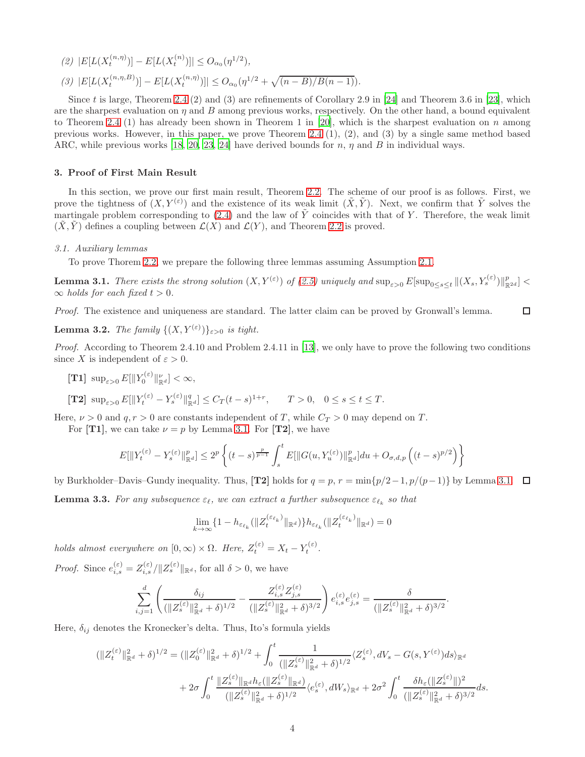- (2)  $|E[L(X_t^{(n,\eta)})] E[L(X_t^{(n)})]| \leq O_{\alpha_0}(\eta^{1/2}),$
- (3)  $|E[L(X_t^{(n,\eta,B)})] E[L(X_t^{(n,\eta)})]| \leq O_{\alpha_0}(\eta^{1/2} + \sqrt{(n-B)/B(n-1)})$ .

Since t is large, Theorem [2.4](#page-2-1) (2) and (3) are refinements of Corollary 2.9 in [\[24](#page-20-4)] and Theorem 3.6 in [\[23\]](#page-20-3), which are the sharpest evaluation on  $\eta$  and B among previous works, respectively. On the other hand, a bound equivalent to Theorem [2.4](#page-2-1) (1) has already been shown in Theorem 1 in [\[20](#page-20-1)], which is the sharpest evaluation on n among previous works. However, in this paper, we prove Theorem [2.4](#page-2-1) (1), (2), and (3) by a single same method based ARC, while previous works [\[18](#page-19-15), [20](#page-20-1), [23](#page-20-3), [24\]](#page-20-4) have derived bounds for  $n$ ,  $\eta$  and  $B$  in individual ways.

#### <span id="page-3-0"></span>3. Proof of First Main Result

In this section, we prove our first main result, Theorem [2.2.](#page-2-0) The scheme of our proof is as follows. First, we prove the tightness of  $(X, Y^{(\varepsilon)})$  and the existence of its weak limit  $(\tilde{X}, \tilde{Y})$ . Next, we confirm that  $\tilde{Y}$  solves the martingale problem corresponding to [\(2.4\)](#page-1-3) and the law of  $\tilde{Y}$  coincides with that of Y. Therefore, the weak limit  $(\tilde{X}, \tilde{Y})$  defines a coupling between  $\mathcal{L}(X)$  and  $\mathcal{L}(Y)$ , and Theorem [2.2](#page-2-0) is proved.

#### 3.1. Auxiliary lemmas

To prove Thorem [2.2,](#page-2-0) we prepare the following three lemmas assuming Assumption [2.1.](#page-1-2)

<span id="page-3-1"></span>**Lemma 3.1.** There exists the strong solution  $(X, Y^{(\varepsilon)})$  of  $(2.5)$  uniquely and  $\sup_{\varepsilon>0} E[\sup_{0\leq s\leq t}||(X_s, Y^{(\varepsilon)})||_{\mathbb{R}^{2d}}^p] <$  $\infty$  holds for each fixed  $t > 0$ .

Proof. The existence and uniqueness are standard. The latter claim can be proved by Gronwall's lemma.

<span id="page-3-2"></span>**Lemma 3.2.** The family  $\{(X, Y^{(\varepsilon)})\}_{\varepsilon>0}$  is tight.

Proof. According to Theorem 2.4.10 and Problem 2.4.11 in [\[13](#page-19-4)], we only have to prove the following two conditions since X is independent of  $\varepsilon > 0$ .

[T1]  $\sup_{\varepsilon>0} E[\|Y_0^{(\varepsilon)}\|_{\mathbb{R}^d}^{\nu}] < \infty,$ 

$$
[\mathbf{T2}] \ \sup_{\varepsilon>0} E[\|Y_t^{(\varepsilon)} - Y_s^{(\varepsilon)}\|_{\mathbb{R}^d}^q] \le C_T (t-s)^{1+r}, \qquad T > 0, \quad 0 \le s \le t \le T.
$$

Here,  $\nu > 0$  and  $q, r > 0$  are constants independent of T, while  $C_T > 0$  may depend on T.

For [T1], we can take  $\nu = p$  by Lemma [3.1.](#page-3-1) For [T2], we have

$$
E[\|Y_t^{(\varepsilon)} - Y_s^{(\varepsilon)}\|_{\mathbb{R}^d}^p] \le 2^p \left\{ (t-s)^{\frac{p}{p-1}} \int_s^t E[\|G(u, Y_u^{(\varepsilon)})\|_{\mathbb{R}^d}^p] du + O_{\sigma,d,p} \left( (t-s)^{p/2} \right) \right\}
$$

by Burkholder–Davis–Gundy inequality. Thus, [T2] holds for  $q = p$ ,  $r = \min\{p/2-1, p/(p-1)\}$  by Lemma [3.1.](#page-3-1)  $\Box$ 

<span id="page-3-3"></span>**Lemma 3.3.** For any subsequence  $\varepsilon_{\ell}$ , we can extract a further subsequence  $\varepsilon_{\ell_k}$  so that

$$
\lim_{k \to \infty} \left\{ 1 - h_{\varepsilon_{\ell_k}}(\|Z_t^{(\varepsilon_{\ell_k})}\|_{\mathbb{R}^d}) \right\} h_{\varepsilon_{\ell_k}}(\|Z_t^{(\varepsilon_{\ell_k})}\|_{\mathbb{R}^d}) = 0
$$

holds almost everywhere on  $[0, \infty) \times \Omega$ . Here,  $Z_t^{(\varepsilon)} = X_t - Y_t^{(\varepsilon)}$ .

*Proof.* Since  $e_{i,s}^{(\varepsilon)} = Z_{i,s}^{(\varepsilon)}/\|Z_s^{(\varepsilon)}\|_{\mathbb{R}^d}$ , for all  $\delta > 0$ , we have

$$
\sum_{i,j=1}^d \left( \frac{\delta_{ij}}{(\|Z_s^{(\varepsilon)}\|_{\mathbb{R}^d}^2 + \delta)^{1/2}} - \frac{Z_{i,s}^{(\varepsilon)} Z_{j,s}^{(\varepsilon)}}{(\|Z_s^{(\varepsilon)}\|_{\mathbb{R}^d}^2 + \delta)^{3/2}} \right) e_{i,s}^{(\varepsilon)} e_{j,s}^{(\varepsilon)} = \frac{\delta}{(\|Z_s^{(\varepsilon)}\|_{\mathbb{R}^d}^2 + \delta)^{3/2}}
$$

.

 $\Box$ 

Here,  $\delta_{ij}$  denotes the Kronecker's delta. Thus, Ito's formula yields

$$
(\|Z_t^{(\varepsilon)}\|_{\mathbb{R}^d}^2 + \delta)^{1/2} = (\|Z_0^{(\varepsilon)}\|_{\mathbb{R}^d}^2 + \delta)^{1/2} + \int_0^t \frac{1}{(\|Z_s^{(\varepsilon)}\|_{\mathbb{R}^d}^2 + \delta)^{1/2}} \langle Z_s^{(\varepsilon)}, dV_s - G(s, Y^{(\varepsilon)}) ds \rangle_{\mathbb{R}^d}
$$
  
+ 
$$
2\sigma \int_0^t \frac{\|Z_s^{(\varepsilon)}\|_{\mathbb{R}^d} h_{\varepsilon}(\|Z_s^{(\varepsilon)}\|_{\mathbb{R}^d})}{(\|Z_s^{(\varepsilon)}\|_{\mathbb{R}^d}^2 + \delta)^{1/2}} \langle e_s^{(\varepsilon)}, dW_s \rangle_{\mathbb{R}^d} + 2\sigma^2 \int_0^t \frac{\delta h_{\varepsilon}(\|Z_s^{(\varepsilon)}\|)^2}{(\|Z_s^{(\varepsilon)}\|_{\mathbb{R}^d}^2 + \delta)^{3/2}} ds.
$$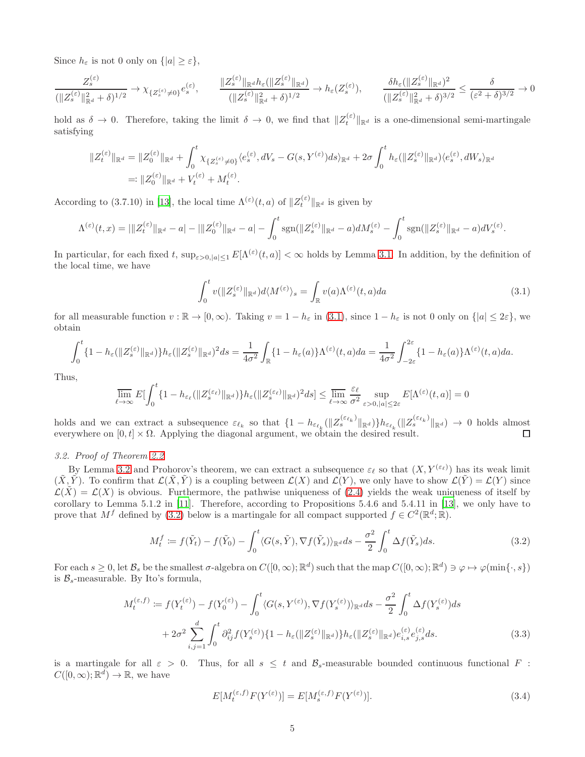Since  $h_{\varepsilon}$  is not 0 only on  $\{|a| \geq \varepsilon\},\$ 

$$
\frac{Z_s^{(\varepsilon)}}{(\|Z_s^{(\varepsilon)}\|_{\mathbb{R}^d}^2 + \delta)^{1/2}} \to \chi_{\{Z_s^{(\varepsilon)} \neq 0\}} e_s^{(\varepsilon)}, \qquad \frac{\|Z_s^{(\varepsilon)}\|_{\mathbb{R}^d} h_{\varepsilon}(\|Z_s^{(\varepsilon)}\|_{\mathbb{R}^d})}{(\|Z_s^{(\varepsilon)}\|_{\mathbb{R}^d}^2 + \delta)^{1/2}} \to h_{\varepsilon}(Z_s^{(\varepsilon)}), \qquad \frac{\delta h_{\varepsilon}(\|Z_s^{(\varepsilon)}\|_{\mathbb{R}^d})^2}{(\|Z_s^{(\varepsilon)}\|_{\mathbb{R}^d}^2 + \delta)^{3/2}} \le \frac{\delta}{(\varepsilon^2 + \delta)^{3/2}} \to 0
$$

hold as  $\delta \to 0$ . Therefore, taking the limit  $\delta \to 0$ , we find that  $||Z_t^{(\varepsilon)}||_{\mathbb{R}^d}$  is a one-dimensional semi-martingale satisfying

$$
\begin{split} \|Z_t^{(\varepsilon)}\|_{\mathbb{R}^d} &= \|Z_0^{(\varepsilon)}\|_{\mathbb{R}^d} + \int_0^t \chi_{\{Z_s^{(\varepsilon)} \neq 0\}} \langle e_s^{(\varepsilon)}, dV_s - G(s, Y^{(\varepsilon)}) ds \rangle_{\mathbb{R}^d} + 2\sigma \int_0^t h_\varepsilon(\|Z_s^{(\varepsilon)}\|_{\mathbb{R}^d}) \langle e_s^{(\varepsilon)}, dW_s \rangle_{\mathbb{R}^d} \\ &=: \|Z_0^{(\varepsilon)}\|_{\mathbb{R}^d} + V_t^{(\varepsilon)} + M_t^{(\varepsilon)}. \end{split}
$$

According to (3.7.10) in [\[13](#page-19-4)], the local time  $\Lambda^{(\varepsilon)}(t, a)$  of  $||Z_t^{(\varepsilon)}||_{\mathbb{R}^d}$  is given by

$$
\Lambda^{(\varepsilon)}(t,x) = |||Z_t^{(\varepsilon)}||_{\mathbb{R}^d} - a| - |||Z_0^{(\varepsilon)}||_{\mathbb{R}^d} - a| - \int_0^t \text{sgn}(||Z_s^{(\varepsilon)}||_{\mathbb{R}^d} - a)dM_s^{(\varepsilon)} - \int_0^t \text{sgn}(||Z_s^{(\varepsilon)}||_{\mathbb{R}^d} - a)dV_s^{(\varepsilon)}.
$$

In particular, for each fixed t,  $\sup_{\varepsilon>0,|a|\leq 1} E[\Lambda^{(\varepsilon)}(t,a)] < \infty$  holds by Lemma [3.1.](#page-3-1) In addition, by the definition of the local time, we have

<span id="page-4-0"></span>
$$
\int_0^t v(\|Z_s^{(\varepsilon)}\|_{\mathbb{R}^d})d\langle M^{(\varepsilon)}\rangle_s = \int_{\mathbb{R}} v(a)\Lambda^{(\varepsilon)}(t,a)da
$$
\n(3.1)

for all measurable function  $v : \mathbb{R} \to [0, \infty)$ . Taking  $v = 1 - h_{\varepsilon}$  in [\(3.1\)](#page-4-0), since  $1 - h_{\varepsilon}$  is not 0 only on  $\{|a| \leq 2\varepsilon\}$ , we obtain

$$
\int_0^t \{1 - h_{\varepsilon}(\|Z_s^{(\varepsilon)}\|_{\mathbb{R}^d})\} h_{\varepsilon}(\|Z_s^{(\varepsilon)}\|_{\mathbb{R}^d})^2 ds = \frac{1}{4\sigma^2} \int_{\mathbb{R}} \{1 - h_{\varepsilon}(a)\} \Lambda^{(\varepsilon)}(t, a) da = \frac{1}{4\sigma^2} \int_{-2\varepsilon}^{2\varepsilon} \{1 - h_{\varepsilon}(a)\} \Lambda^{(\varepsilon)}(t, a) da.
$$

Thus,

$$
\overline{\lim}_{\ell \to \infty} E \left[ \int_0^t \{ 1 - h_{\varepsilon_\ell}(\|Z_s^{(\varepsilon_\ell)}\|_{\mathbb{R}^d}) \} h_{\varepsilon}(\|Z_s^{(\varepsilon_\ell)}\|_{\mathbb{R}^d})^2 ds \right] \le \overline{\lim}_{\ell \to \infty} \frac{\varepsilon_\ell}{\sigma^2} \sup_{\varepsilon > 0, |a| \le 2\varepsilon} E[\Lambda^{(\varepsilon)}(t, a)] = 0
$$

holds and we can extract a subsequence  $\varepsilon_{\ell_k}$  so that  $\{1-h_{\varepsilon_{\ell_k}}(\|Z_s^{(\varepsilon_{\ell_k})}\|_{\mathbb{R}^d})\}h_{\varepsilon_{\ell_k}}(\|Z_s^{(\varepsilon_{\ell_k})}\|_{\mathbb{R}^d}) \to 0$  holds almost everywhere on  $[0, t] \times \Omega$ . Applying the diagonal argument, we obtain the desired result.

## 3.2. Proof of Theorem [2.2](#page-2-0)

By Lemma [3.2](#page-3-2) and Prohorov's theorem, we can extract a subsequence  $\varepsilon_\ell$  so that  $(X, Y^{(\varepsilon_\ell)})$  has its weak limit  $(\tilde{X}, \tilde{Y})$ . To confirm that  $\mathcal{L}(\tilde{X}, \tilde{Y})$  is a coupling between  $\mathcal{L}(X)$  and  $\mathcal{L}(Y)$ , we only have to show  $\mathcal{L}(\tilde{Y}) = \mathcal{L}(Y)$  since  $\mathcal{L}(\tilde{X}) = \mathcal{L}(X)$  is obvious. Furthermore, the pathwise uniqueness of [\(2.4\)](#page-1-3) yields the weak uniqueness of itself by corollary to Lemma 5.1.2 in [\[11\]](#page-19-17). Therefore, according to Propositions 5.4.6 and 5.4.11 in [\[13\]](#page-19-4), we only have to prove that  $M^f$  defined by [\(3.2\)](#page-4-1) below is a martingale for all compact supported  $f \in C^2(\mathbb{R}^d; \mathbb{R})$ .

$$
M_t^f \coloneqq f(\tilde{Y}_t) - f(\tilde{Y}_0) - \int_0^t \langle G(s, \tilde{Y}), \nabla f(\tilde{Y}_s) \rangle_{\mathbb{R}^d} ds - \frac{\sigma^2}{2} \int_0^t \Delta f(\tilde{Y}_s) ds. \tag{3.2}
$$

For each  $s \geq 0$ , let  $\mathcal{B}_s$  be the smallest  $\sigma$ -algebra on  $C([0,\infty);\mathbb{R}^d)$  such that the map  $C([0,\infty);\mathbb{R}^d) \ni \varphi \mapsto \varphi(\min\{\cdot,s\})$ is  $\mathcal{B}_s$ -measurable. By Ito's formula,

$$
M_t^{(\varepsilon,f)} \coloneqq f(Y_t^{(\varepsilon)}) - f(Y_0^{(\varepsilon)}) - \int_0^t \langle G(s, Y^{(\varepsilon)}), \nabla f(Y_s^{(\varepsilon)}) \rangle_{\mathbb{R}^d} ds - \frac{\sigma^2}{2} \int_0^t \Delta f(Y_s^{(\varepsilon)}) ds + 2\sigma^2 \sum_{i,j=1}^d \int_0^t \partial_{ij}^2 f(Y_s^{(\varepsilon)}) \{1 - h_\varepsilon(\|Z_s^{(\varepsilon)}\|_{\mathbb{R}^d})\} h_\varepsilon(\|Z_s^{(\varepsilon)}\|_{\mathbb{R}^d}) e_{i,s}^{(\varepsilon)} e_{j,s}^{(\varepsilon)} ds.
$$
 (3.3)

is a martingale for all  $\varepsilon > 0$ . Thus, for all  $s \leq t$  and  $\mathcal{B}_{s}$ -measurable bounded continuous functional F:  $C([0,\infty);\mathbb{R}^d) \to \mathbb{R}$ , we have

<span id="page-4-2"></span><span id="page-4-1"></span>
$$
E[M_t^{(\varepsilon,f)} F(Y^{(\varepsilon)})] = E[M_s^{(\varepsilon,f)} F(Y^{(\varepsilon)})].
$$
\n(3.4)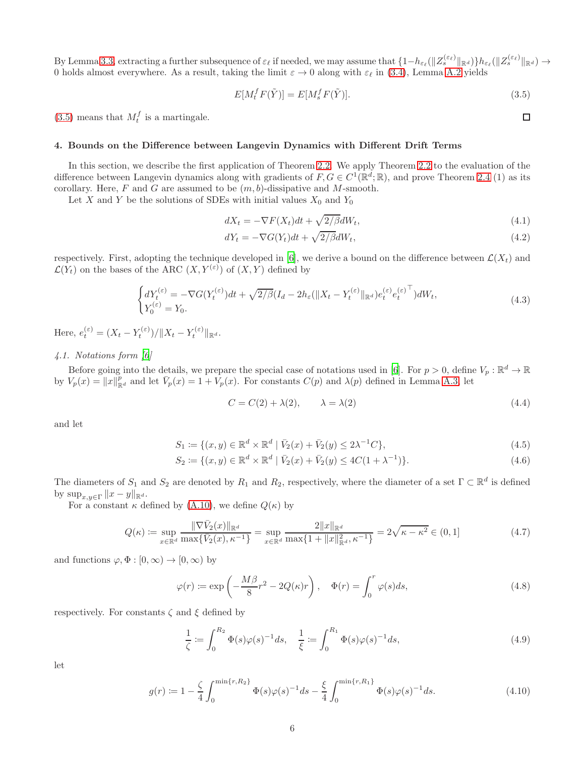By Lemma [3.3,](#page-3-3) extracting a further subsequence of  $\varepsilon_\ell$  if needed, we may assume that  $\{1-h_{\varepsilon_\ell}(\|Z^{\varepsilon_\ell)}_s\|_{\mathbb{R}^d})\}h_{\varepsilon_\ell}(\|Z^{\varepsilon_\ell)}_s\|_{\mathbb{R}^d}) \to$ 0 holds almost everywhere. As a result, taking the limit  $\varepsilon \to 0$  along with  $\varepsilon_\ell$  in [\(3.4\)](#page-4-2), Lemma [A.2](#page-13-0) yields

<span id="page-5-1"></span>
$$
E[M_t^f F(\tilde{Y})] = E[M_s^f F(\tilde{Y})].
$$
\n(3.5)

 $(3.5)$  means that  $M_t^f$  is a martingale.

#### <span id="page-5-0"></span>4. Bounds on the Difference between Langevin Dynamics with Different Drift Terms

In this section, we describe the first application of Theorem [2.2.](#page-2-0) We apply Theorem [2.2](#page-2-0) to the evaluation of the difference between Langevin dynamics along with gradients of  $F, G \in C^1(\mathbb{R}^d; \mathbb{R})$ , and prove Theorem [2.4](#page-2-1) (1) as its corollary. Here,  $F$  and  $G$  are assumed to be  $(m, b)$ -dissipative and M-smooth.

Let X and Y be the solutions of SDEs with initial values  $X_0$  and  $Y_0$ 

$$
dX_t = -\nabla F(X_t)dt + \sqrt{2/\beta}dW_t,
$$
\n(4.1)

<span id="page-5-4"></span><span id="page-5-3"></span><span id="page-5-2"></span>
$$
dY_t = -\nabla G(Y_t)dt + \sqrt{2/\beta}dW_t,
$$
\n(4.2)

respectively. First, adopting the technique developed in [\[6\]](#page-19-2), we derive a bound on the difference between  $\mathcal{L}(X_t)$  and  $\mathcal{L}(Y_t)$  on the bases of the ARC  $(X, Y^{(\varepsilon)})$  of  $(X, Y)$  defined by

$$
\begin{cases} dY_t^{(\varepsilon)} = -\nabla G(Y_t^{(\varepsilon)})dt + \sqrt{2/\beta}(I_d - 2h_{\varepsilon}(\|X_t - Y_t^{(\varepsilon)}\|_{\mathbb{R}^d})e_t^{(\varepsilon)}e_t^{(\varepsilon)^{\top}})dW_t, \\ Y_0^{(\varepsilon)} = Y_0. \end{cases} \tag{4.3}
$$

Here,  $e_t^{(\varepsilon)} = (X_t - Y_t^{(\varepsilon)}) / \|X_t - Y_t^{(\varepsilon)}\|_{\mathbb{R}^d}$ .

# <span id="page-5-6"></span>4.1. Notations form [\[6\]](#page-19-2)

Before going into the details, we prepare the special case of notations used in [\[6\]](#page-19-2). For  $p > 0$ , define  $V_p : \mathbb{R}^d \to \mathbb{R}$ by  $V_p(x) = ||x||_{\mathbb{R}^d}^p$  and let  $\bar{V}_p(x) = 1 + \bar{V}_p(x)$ . For constants  $C(p)$  and  $\lambda(p)$  defined in Lemma [A.3,](#page-14-0) let

<span id="page-5-8"></span><span id="page-5-7"></span>
$$
C = C(2) + \lambda(2), \qquad \lambda = \lambda(2) \tag{4.4}
$$

and let

$$
S_1 := \{ (x, y) \in \mathbb{R}^d \times \mathbb{R}^d \mid \overline{V}_2(x) + \overline{V}_2(y) \le 2\lambda^{-1} C \},\tag{4.5}
$$

$$
S_2 := \{(x, y) \in \mathbb{R}^d \times \mathbb{R}^d \mid \overline{V}_2(x) + \overline{V}_2(y) \le 4C(1 + \lambda^{-1})\}.
$$
\n(4.6)

The diameters of  $S_1$  and  $S_2$  are denoted by  $R_1$  and  $R_2$ , respectively, where the diameter of a set  $\Gamma \subset \mathbb{R}^d$  is defined by  $\sup_{x,y\in\Gamma}||x-y||_{\mathbb{R}^d}$ .

For a constant  $\kappa$  defined by [\(A.10\)](#page-17-0), we define  $Q(\kappa)$  by

$$
Q(\kappa) := \sup_{x \in \mathbb{R}^d} \frac{\|\nabla \bar{V}_2(x)\|_{\mathbb{R}^d}}{\max\{\bar{V}_2(x), \kappa^{-1}\}} = \sup_{x \in \mathbb{R}^d} \frac{2\|x\|_{\mathbb{R}^d}}{\max\{1 + \|x\|_{\mathbb{R}^d}^2, \kappa^{-1}\}} = 2\sqrt{\kappa - \kappa^2} \in (0, 1]
$$
(4.7)

and functions  $\varphi, \Phi : [0, \infty) \to [0, \infty)$  by

$$
\varphi(r) \coloneqq \exp\left(-\frac{M\beta}{8}r^2 - 2Q(\kappa)r\right), \quad \Phi(r) = \int_0^r \varphi(s)ds,\tag{4.8}
$$

respectively. For constants  $\zeta$  and  $\xi$  defined by

<span id="page-5-5"></span>
$$
\frac{1}{\zeta} := \int_0^{R_2} \Phi(s) \varphi(s)^{-1} ds, \quad \frac{1}{\xi} := \int_0^{R_1} \Phi(s) \varphi(s)^{-1} ds,
$$
\n(4.9)

let

$$
g(r) := 1 - \frac{\zeta}{4} \int_0^{\min\{r, R_2\}} \Phi(s) \varphi(s)^{-1} ds - \frac{\xi}{4} \int_0^{\min\{r, R_1\}} \Phi(s) \varphi(s)^{-1} ds.
$$
 (4.10)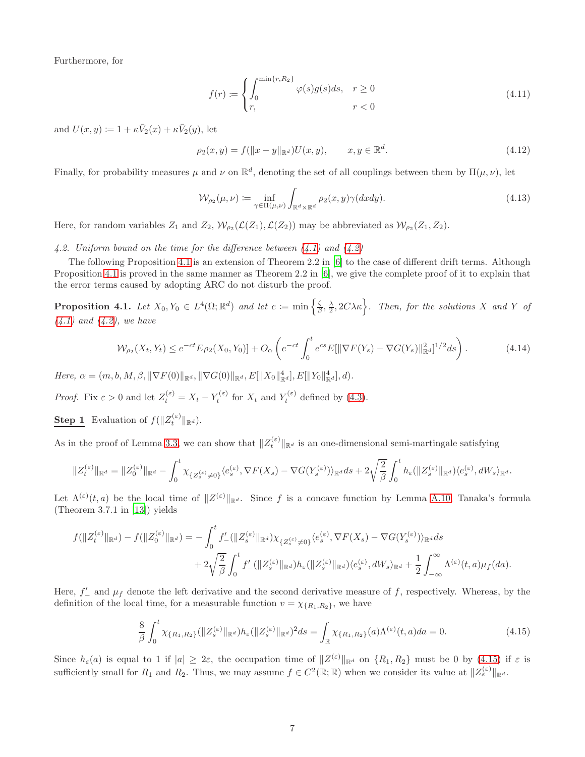Furthermore, for

<span id="page-6-3"></span><span id="page-6-2"></span>
$$
f(r) := \begin{cases} \int_0^{\min\{r, R_2\}} \varphi(s)g(s)ds, & r \ge 0\\ r, & r < 0 \end{cases}
$$
\n(4.11)

and  $U(x, y) \coloneqq 1 + \kappa \bar{V}_2(x) + \kappa \bar{V}_2(y)$ , let

$$
\rho_2(x, y) = f(||x - y||_{\mathbb{R}^d})U(x, y), \qquad x, y \in \mathbb{R}^d.
$$
\n(4.12)

Finally, for probability measures  $\mu$  and  $\nu$  on  $\mathbb{R}^d$ , denoting the set of all couplings between them by  $\Pi(\mu, \nu)$ , let

$$
\mathcal{W}_{\rho_2}(\mu,\nu) := \inf_{\gamma \in \Pi(\mu,\nu)} \int_{\mathbb{R}^d \times \mathbb{R}^d} \rho_2(x,y) \gamma(dxdy). \tag{4.13}
$$

Here, for random variables  $Z_1$  and  $Z_2$ ,  $\mathcal{W}_{\rho_2}(\mathcal{L}(Z_1), \mathcal{L}(Z_2))$  may be abbreviated as  $\mathcal{W}_{\rho_2}(Z_1, Z_2)$ .

# 4.2. Uniform bound on the time for the difference between  $(4.1)$  and  $(4.2)$

The following Proposition [4.1](#page-6-0) is an extension of Theorem 2.2 in [\[6](#page-19-2)] to the case of different drift terms. Although Proposition [4.1](#page-6-0) is proved in the same manner as Theorem 2.2 in [\[6\]](#page-19-2), we give the complete proof of it to explain that the error terms caused by adopting ARC do not disturb the proof.

<span id="page-6-0"></span>**Proposition 4.1.** Let  $X_0, Y_0 \in L^4(\Omega; \mathbb{R}^d)$  and let  $c := \min\left\{\frac{\zeta}{\beta}, \frac{\lambda}{2}, 2C\lambda\kappa\right\}$ . Then, for the solutions X and Y of  $(4.1)$  and  $(4.2)$ , we have

$$
\mathcal{W}_{\rho_2}(X_t, Y_t) \le e^{-ct} E \rho_2(X_0, Y_0) + O_\alpha \left( e^{-ct} \int_0^t e^{cs} E[\|\nabla F(Y_s) - \nabla G(Y_s)\|_{\mathbb{R}^d}^2]^{1/2} ds \right).
$$
 (4.14)

Here,  $\alpha = (m, b, M, \beta, \|\nabla F(0)\|_{\mathbb{R}^d}, \|\nabla G(0)\|_{\mathbb{R}^d}, E[\|X_0\|_{\mathbb{R}^d}^4], E[\|Y_0\|_{\mathbb{R}^d}^4], d)$ .

*Proof.* Fix  $\varepsilon > 0$  and let  $Z_t^{(\varepsilon)} = X_t - Y_t^{(\varepsilon)}$  for  $X_t$  and  $Y_t^{(\varepsilon)}$  defined by [\(4.3\)](#page-5-4).

**Step 1** Evaluation of  $f(||Z_t^{(\varepsilon)}||_{\mathbb{R}^d})$ .

As in the proof of Lemma [3.3,](#page-3-3) we can show that  $||Z_t^{(\varepsilon)}||_{\mathbb{R}^d}$  is an one-dimensional semi-martingale satisfying

$$
\|Z_t^{(\varepsilon)}\|_{\mathbb{R}^d} = \|Z_0^{(\varepsilon)}\|_{\mathbb{R}^d} - \int_0^t \chi_{\{Z_s^{(\varepsilon)} \neq 0\}} \langle e_s^{(\varepsilon)}, \nabla F(X_s) - \nabla G(Y_s^{(\varepsilon)}) \rangle_{\mathbb{R}^d} ds + 2\sqrt{\frac{2}{\beta}} \int_0^t h_{\varepsilon}(\|Z_s^{(\varepsilon)}\|_{\mathbb{R}^d}) \langle e_s^{(\varepsilon)}, dW_s \rangle_{\mathbb{R}^d}.
$$

Let  $\Lambda^{(\varepsilon)}(t,a)$  be the local time of  $||Z^{(\varepsilon)}||_{\mathbb{R}^d}$ . Since f is a concave function by Lemma [A.10,](#page-18-0) Tanaka's formula (Theorem 3.7.1 in [\[13\]](#page-19-4)) yields

$$
f(\|Z_t^{(\varepsilon)}\|_{\mathbb{R}^d}) - f(\|Z_0^{(\varepsilon)}\|_{\mathbb{R}^d}) = -\int_0^t f'_{-}(\|Z_s^{(\varepsilon)}\|_{\mathbb{R}^d}) \chi_{\{Z_s^{(\varepsilon)} \neq 0\}} \langle e_s^{(\varepsilon)}, \nabla F(X_s) - \nabla G(Y_s^{(\varepsilon)}) \rangle_{\mathbb{R}^d} ds + 2\sqrt{\frac{2}{\beta}} \int_0^t f'_{-}(\|Z_s^{(\varepsilon)}\|_{\mathbb{R}^d}) h_{\varepsilon}(\|Z_s^{(\varepsilon)}\|_{\mathbb{R}^d}) \langle e_s^{(\varepsilon)}, dW_s \rangle_{\mathbb{R}^d} + \frac{1}{2} \int_{-\infty}^{\infty} \Lambda^{(\varepsilon)}(t, a) \mu_f(da).
$$

Here,  $f'$  and  $\mu_f$  denote the left derivative and the second derivative measure of f, respectively. Whereas, by the definition of the local time, for a measurable function  $v = \chi_{\{R_1, R_2\}}$ , we have

<span id="page-6-1"></span>
$$
\frac{8}{\beta} \int_0^t \chi_{\{R_1, R_2\}}(\|Z_s^{(\varepsilon)}\|_{\mathbb{R}^d}) h_{\varepsilon}(\|Z_s^{(\varepsilon)}\|_{\mathbb{R}^d})^2 ds = \int_{\mathbb{R}} \chi_{\{R_1, R_2\}}(a) \Lambda^{(\varepsilon)}(t, a) da = 0.
$$
\n(4.15)

Since  $h_{\varepsilon}(a)$  is equal to 1 if  $|a| \geq 2\varepsilon$ , the occupation time of  $||Z^{(\varepsilon)}||_{\mathbb{R}^d}$  on  $\{R_1, R_2\}$  must be 0 by [\(4.15\)](#page-6-1) if  $\varepsilon$  is sufficiently small for  $R_1$  and  $R_2$ . Thus, we may assume  $f \in C^2(\mathbb{R}; \mathbb{R})$  when we consider its value at  $||Z_s^{(\varepsilon)}||_{\mathbb{R}^d}$ .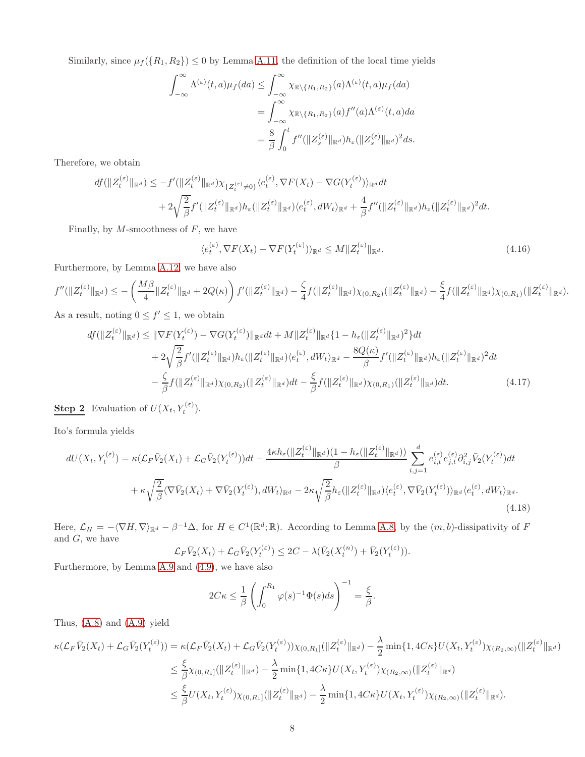Similarly, since  $\mu_f(\lbrace R_1, R_2 \rbrace) \leq 0$  by Lemma [A.11,](#page-18-1) the definition of the local time yields

$$
\int_{-\infty}^{\infty} \Lambda^{(\varepsilon)}(t, a) \mu_f(da) \leq \int_{-\infty}^{\infty} \chi_{\mathbb{R}\backslash\{R_1, R_2\}}(a) \Lambda^{(\varepsilon)}(t, a) \mu_f(da)
$$

$$
= \int_{-\infty}^{\infty} \chi_{\mathbb{R}\backslash\{R_1, R_2\}}(a) f''(a) \Lambda^{(\varepsilon)}(t, a) da
$$

$$
= \frac{8}{\beta} \int_0^t f''(\|Z_s^{(\varepsilon)}\|_{\mathbb{R}^d}) h_{\varepsilon}(\|Z_s^{(\varepsilon)}\|_{\mathbb{R}^d})^2 ds.
$$

Therefore, we obtain

$$
df(\|Z_t^{(\varepsilon)}\|_{\mathbb{R}^d}) \leq -f'(\|Z_t^{(\varepsilon)}\|_{\mathbb{R}^d})\chi_{\{Z_t^{(\varepsilon)}\neq 0\}}\langle e_t^{(\varepsilon)}, \nabla F(X_t) - \nabla G(Y_t^{(\varepsilon)})\rangle_{\mathbb{R}^d}dt + 2\sqrt{\frac{2}{\beta}}f'(\|Z_t^{(\varepsilon)}\|_{\mathbb{R}^d})h_{\varepsilon}(\|Z_t^{(\varepsilon)}\|_{\mathbb{R}^d})\langle e_t^{(\varepsilon)}, dW_t\rangle_{\mathbb{R}^d} + \frac{4}{\beta}f''(\|Z_t^{(\varepsilon)}\|_{\mathbb{R}^d})h_{\varepsilon}(\|Z_t^{(\varepsilon)}\|_{\mathbb{R}^d})^2dt.
$$

Finally, by  $M$ -smoothness of  $F$ , we have

<span id="page-7-0"></span>
$$
\langle e_t^{(\varepsilon)}, \nabla F(X_t) - \nabla F(Y_t^{(\varepsilon)}) \rangle_{\mathbb{R}^d} \le M \| Z_t^{(\varepsilon)} \|_{\mathbb{R}^d}.
$$
\n(4.16)

Furthermore, by Lemma [A.12,](#page-18-2) we have also

$$
f''(\|Z_t^{(\varepsilon)}\|_{\mathbb{R}^d}) \leq -\left(\frac{M\beta}{4}\|Z_t^{(\varepsilon)}\|_{\mathbb{R}^d} + 2Q(\kappa)\right)f'(\|Z_t^{(\varepsilon)}\|_{\mathbb{R}^d}) - \frac{\zeta}{4}f(\|Z_t^{(\varepsilon)}\|_{\mathbb{R}^d})\chi_{(0,R_2)}(\|Z_t^{(\varepsilon)}\|_{\mathbb{R}^d}) - \frac{\xi}{4}f(\|Z_t^{(\varepsilon)}\|_{\mathbb{R}^d})\chi_{(0,R_1)}(\|Z_t^{(\varepsilon)}\|_{\mathbb{R}^d}).
$$

As a result, noting  $0 \leq f' \leq 1$ , we obtain

$$
df(\|Z_t^{(\varepsilon)}\|_{\mathbb{R}^d}) \leq \|\nabla F(Y_t^{(\varepsilon)}) - \nabla G(Y_t^{(\varepsilon)})\|_{\mathbb{R}^d} dt + M \|Z_t^{(\varepsilon)}\|_{\mathbb{R}^d} \{1 - h_{\varepsilon}(\|Z_t^{(\varepsilon)}\|_{\mathbb{R}^d})^2\} dt + 2\sqrt{\frac{2}{\beta}} f'(\|Z_t^{(\varepsilon)}\|_{\mathbb{R}^d}) h_{\varepsilon}(\|Z_t^{(\varepsilon)}\|_{\mathbb{R}^d}) \langle e_t^{(\varepsilon)}, dW_t \rangle_{\mathbb{R}^d} - \frac{8Q(\kappa)}{\beta} f'(\|Z_t^{(\varepsilon)}\|_{\mathbb{R}^d}) h_{\varepsilon}(\|Z_t^{(\varepsilon)}\|_{\mathbb{R}^d})^2 dt -\frac{\zeta}{\beta} f(\|Z_t^{(\varepsilon)}\|_{\mathbb{R}^d}) \chi_{(0,R_2)}(\|Z_t^{(\varepsilon)}\|_{\mathbb{R}^d}) dt - \frac{\xi}{\beta} f(\|Z_t^{(\varepsilon)}\|_{\mathbb{R}^d}) \chi_{(0,R_1)}(\|Z_t^{(\varepsilon)}\|_{\mathbb{R}^d}) dt.
$$
\n(4.17)

**Step 2** Evaluation of  $U(X_t, Y_t^{(\varepsilon)})$ .

Ito's formula yields

$$
dU(X_t, Y_t^{(\varepsilon)}) = \kappa (\mathcal{L}_F \bar{V}_2(X_t) + \mathcal{L}_G \bar{V}_2(Y_t^{(\varepsilon)})) dt - \frac{4\kappa h_\varepsilon(\|Z_t^{(\varepsilon)}\|_{\mathbb{R}^d})(1 - h_\varepsilon(\|Z_t^{(\varepsilon)}\|_{\mathbb{R}^d}))}{\beta} \sum_{i,j=1}^d e_{i,t}^{(\varepsilon)} e_{j,t}^{(\varepsilon)} \partial_{i,j}^2 \bar{V}_2(Y_t^{(\varepsilon)}) dt + \kappa \sqrt{\frac{2}{\beta}} \langle \nabla \bar{V}_2(X_t) + \nabla \bar{V}_2(Y_t^{(\varepsilon)}), dW_t \rangle_{\mathbb{R}^d} - 2\kappa \sqrt{\frac{2}{\beta}} h_\varepsilon(\|Z_t^{(\varepsilon)}\|_{\mathbb{R}^d}) \langle e_t^{(\varepsilon)}, \nabla \bar{V}_2(Y_t^{(\varepsilon)}) \rangle_{\mathbb{R}^d} \langle e_t^{(\varepsilon)}, dW_t \rangle_{\mathbb{R}^d}.
$$
\n(4.18)

Here,  $\mathcal{L}_H = -\langle \nabla H, \nabla \rangle_{\mathbb{R}^d} - \beta^{-1} \Delta$ , for  $H \in C^1(\mathbb{R}^d; \mathbb{R})$ . According to Lemma [A.8,](#page-17-1) by the  $(m, b)$ -dissipativity of F and  $G$ , we have

$$
\mathcal{L}_F \bar{V}_2(X_t) + \mathcal{L}_G \bar{V}_2(Y_t^{(\varepsilon)}) \leq 2C - \lambda(\bar{V}_2(X_t^{(n)}) + \bar{V}_2(Y_t^{(\varepsilon)})).
$$

Furthermore, by Lemma [A.9](#page-17-2) and [\(4.9\)](#page-5-5), we have also

<span id="page-7-1"></span>
$$
2C\kappa \le \frac{1}{\beta} \left( \int_0^{R_1} \varphi(s)^{-1} \Phi(s) ds \right)^{-1} = \frac{\xi}{\beta}.
$$

Thus, [\(A.8\)](#page-17-3) and [\(A.9\)](#page-17-4) yield

$$
\kappa(\mathcal{L}_{F}\bar{V}_{2}(X_{t})+\mathcal{L}_{G}\bar{V}_{2}(Y_{t}^{(\varepsilon)}))=\kappa(\mathcal{L}_{F}\bar{V}_{2}(X_{t})+\mathcal{L}_{G}\bar{V}_{2}(Y_{t}^{(\varepsilon)}))\chi_{(0,R_{1}]}(\|Z_{t}^{(\varepsilon)}\|_{\mathbb{R}^{d}})-\frac{\lambda}{2}\min\{1,4C\kappa\}U(X_{t},Y_{t}^{(\varepsilon)})\chi_{(R_{2},\infty)}(\|Z_{t}^{(\varepsilon)}\|_{\mathbb{R}^{d}})
$$
  

$$
\leq\frac{\xi}{\beta}\chi_{(0,R_{1}]}(\|Z_{t}^{(\varepsilon)}\|_{\mathbb{R}^{d}})-\frac{\lambda}{2}\min\{1,4C\kappa\}U(X_{t},Y_{t}^{(\varepsilon)})\chi_{(R_{2},\infty)}(\|Z_{t}^{(\varepsilon)}\|_{\mathbb{R}^{d}})
$$
  

$$
\leq\frac{\xi}{\beta}U(X_{t},Y_{t}^{(\varepsilon)})\chi_{(0,R_{1}]}(\|Z_{t}^{(\varepsilon)}\|_{\mathbb{R}^{d}})-\frac{\lambda}{2}\min\{1,4C\kappa\}U(X_{t},Y_{t}^{(\varepsilon)})\chi_{(R_{2},\infty)}(\|Z_{t}^{(\varepsilon)}\|_{\mathbb{R}^{d}}).
$$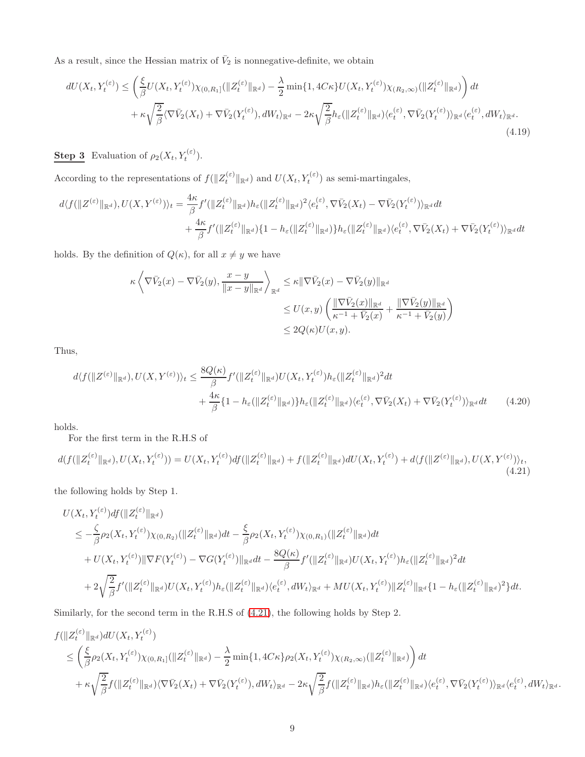As a result, since the Hessian matrix of  $\bar{V}_2$  is nonnegative-definite, we obtain

$$
dU(X_t, Y_t^{(\varepsilon)}) \leq \left(\frac{\xi}{\beta} U(X_t, Y_t^{(\varepsilon)}) \chi_{(0, R_1]}(\|Z_t^{(\varepsilon)}\|_{\mathbb{R}^d}) - \frac{\lambda}{2} \min\{1, 4C\kappa\} U(X_t, Y_t^{(\varepsilon)}) \chi_{(R_2, \infty)}(\|Z_t^{(\varepsilon)}\|_{\mathbb{R}^d})\right) dt + \kappa \sqrt{\frac{2}{\beta}} \langle \nabla \bar{V}_2(X_t) + \nabla \bar{V}_2(Y_t^{(\varepsilon)}), dW_t \rangle_{\mathbb{R}^d} - 2\kappa \sqrt{\frac{2}{\beta}} h_{\varepsilon}(\|Z_t^{(\varepsilon)}\|_{\mathbb{R}^d}) \langle e_t^{(\varepsilon)}, \nabla \bar{V}_2(Y_t^{(\varepsilon)}) \rangle_{\mathbb{R}^d} \langle e_t^{(\varepsilon)}, dW_t \rangle_{\mathbb{R}^d}.
$$
\n(4.19)

**Step 3** Evaluation of  $\rho_2(X_t, Y_t^{(\varepsilon)})$ .

According to the representations of  $f(||Z_t^{(\varepsilon)}||_{\mathbb{R}^d})$  and  $U(X_t, Y_t^{(\varepsilon)})$  as semi-martingales,

$$
d\langle f(\|Z^{(\varepsilon)}\|_{\mathbb{R}^d}),U(X,Y^{(\varepsilon)})\rangle_t = \frac{4\kappa}{\beta}f'(\|Z_t^{(\varepsilon)}\|_{\mathbb{R}^d})h_{\varepsilon}(\|Z_t^{(\varepsilon)}\|_{\mathbb{R}^d})^2\langle e_t^{(\varepsilon)},\nabla\bar{V}_2(X_t) - \nabla\bar{V}_2(Y_t^{(\varepsilon)})\rangle_{\mathbb{R}^d}dt + \frac{4\kappa}{\beta}f'(\|Z_t^{(\varepsilon)}\|_{\mathbb{R}^d})\{1-h_{\varepsilon}(\|Z_t^{(\varepsilon)}\|_{\mathbb{R}^d})\}h_{\varepsilon}(\|Z_t^{(\varepsilon)}\|_{\mathbb{R}^d})\langle e_t^{(\varepsilon)},\nabla\bar{V}_2(X_t) + \nabla\bar{V}_2(Y_t^{(\varepsilon)})\rangle_{\mathbb{R}^d}dt
$$

holds. By the definition of  $Q(\kappa)$ , for all  $x \neq y$  we have

<span id="page-8-1"></span><span id="page-8-0"></span>
$$
\begin{aligned} \kappa \left\langle \nabla \bar{V}_2(x) - \nabla \bar{V}_2(y), \frac{x - y}{\|x - y\|_{\mathbb{R}^d}} \right\rangle_{\mathbb{R}^d} &\leq \kappa \|\nabla \bar{V}_2(x) - \nabla \bar{V}_2(y)\|_{\mathbb{R}^d} \\ &\leq U(x, y) \left( \frac{\|\nabla \bar{V}_2(x)\|_{\mathbb{R}^d}}{\kappa^{-1} + \bar{V}_2(x)} + \frac{\|\nabla \bar{V}_2(y)\|_{\mathbb{R}^d}}{\kappa^{-1} + \bar{V}_2(y)} \right) \\ &\leq 2Q(\kappa)U(x, y). \end{aligned}
$$

Thus,

$$
d\langle f(\|Z^{(\varepsilon)}\|_{\mathbb{R}^d}), U(X, Y^{(\varepsilon)})\rangle_t \leq \frac{8Q(\kappa)}{\beta} f'(\|Z_t^{(\varepsilon)}\|_{\mathbb{R}^d}) U(X_t, Y_t^{(\varepsilon)}) h_{\varepsilon}(\|Z_t^{(\varepsilon)}\|_{\mathbb{R}^d})^2 dt + \frac{4\kappa}{\beta} \{1 - h_{\varepsilon}(\|Z_t^{(\varepsilon)}\|_{\mathbb{R}^d})\} h_{\varepsilon}(\|Z_t^{(\varepsilon)}\|_{\mathbb{R}^d}) \langle e_t^{(\varepsilon)}, \nabla \bar{V}_2(X_t) + \nabla \bar{V}_2(Y_t^{(\varepsilon)})\rangle_{\mathbb{R}^d} dt \qquad (4.20)
$$

holds.

For the first term in the R.H.S of

$$
d(f(||Z_t^{(\varepsilon)}||_{\mathbb{R}^d}), U(X_t, Y_t^{(\varepsilon)})) = U(X_t, Y_t^{(\varepsilon)}) df(||Z_t^{(\varepsilon)}||_{\mathbb{R}^d}) + f(||Z_t^{(\varepsilon)}||_{\mathbb{R}^d}) dU(X_t, Y_t^{(\varepsilon)}) + d\langle f(||Z^{(\varepsilon)}||_{\mathbb{R}^d}), U(X, Y^{(\varepsilon)})\rangle_t,
$$
\n(4.21)

the following holds by Step 1.

$$
U(X_t, Y_t^{(\varepsilon)})df(||Z_t^{(\varepsilon)}||_{\mathbb{R}^d})
$$
  
\n
$$
\leq -\frac{\zeta}{\beta}\rho_2(X_t, Y_t^{(\varepsilon)})\chi_{(0,R_2)}(||Z_t^{(\varepsilon)}||_{\mathbb{R}^d})dt - \frac{\xi}{\beta}\rho_2(X_t, Y_t^{(\varepsilon)})\chi_{(0,R_1)}(||Z_t^{(\varepsilon)}||_{\mathbb{R}^d})dt
$$
  
\n
$$
+ U(X_t, Y_t^{(\varepsilon)})||\nabla F(Y_t^{(\varepsilon)}) - \nabla G(Y_t^{(\varepsilon)})||_{\mathbb{R}^d}dt - \frac{8Q(\kappa)}{\beta}f'(||Z_t^{(\varepsilon)}||_{\mathbb{R}^d})U(X_t, Y_t^{(\varepsilon)})h_{\varepsilon}(||Z_t^{(\varepsilon)}||_{\mathbb{R}^d})^2dt
$$
  
\n
$$
+ 2\sqrt{\frac{2}{\beta}}f'(||Z_t^{(\varepsilon)}||_{\mathbb{R}^d})U(X_t, Y_t^{(\varepsilon)})h_{\varepsilon}(||Z_t^{(\varepsilon)}||_{\mathbb{R}^d})\langle e_t^{(\varepsilon)}, dW_t\rangle_{\mathbb{R}^d} + MU(X_t, Y_t^{(\varepsilon)})||Z_t^{(\varepsilon)}||_{\mathbb{R}^d}\{1 - h_{\varepsilon}(||Z_t^{(\varepsilon)}||_{\mathbb{R}^d})^2\}dt.
$$

Similarly, for the second term in the R.H.S of [\(4.21\)](#page-8-0), the following holds by Step 2.

$$
f(\|Z_t^{(\varepsilon)}\|_{\mathbb{R}^d})dU(X_t, Y_t^{(\varepsilon)})\n\leq \left(\frac{\xi}{\beta}\rho_2(X_t, Y_t^{(\varepsilon)})\chi_{(0,R_1]}(\|Z_t^{(\varepsilon)}\|_{\mathbb{R}^d}) - \frac{\lambda}{2}\min\{1, 4C\kappa\}\rho_2(X_t, Y_t^{(\varepsilon)})\chi_{(R_2,\infty)}(\|Z_t^{(\varepsilon)}\|_{\mathbb{R}^d})\right)dt\n+ \kappa\sqrt{\frac{2}{\beta}}f(\|Z_t^{(\varepsilon)}\|_{\mathbb{R}^d})\langle\nabla \bar{V}_2(X_t) + \nabla \bar{V}_2(Y_t^{(\varepsilon)}), dW_t\rangle_{\mathbb{R}^d} - 2\kappa\sqrt{\frac{2}{\beta}}f(\|Z_t^{(\varepsilon)}\|_{\mathbb{R}^d})h_{\varepsilon}(\|Z_t^{(\varepsilon)}\|_{\mathbb{R}^d})\langle e_t^{(\varepsilon)}, \nabla \bar{V}_2(Y_t^{(\varepsilon)})\rangle_{\mathbb{R}^d}\langle e_t^{(\varepsilon)}, dW_t\rangle_{\mathbb{R}^d}.
$$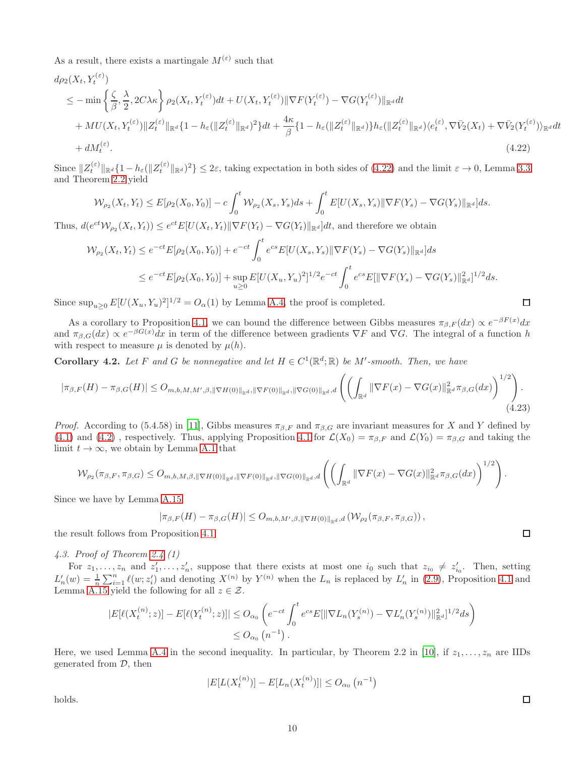As a result, there exists a martingale  $M^{(\varepsilon)}$  such that

$$
d\rho_2(X_t, Y_t^{(\varepsilon)})
$$
  
\n
$$
\leq -\min\left\{\frac{\zeta}{\beta}, \frac{\lambda}{2}, 2C\lambda\kappa\right\}\rho_2(X_t, Y_t^{(\varepsilon)})dt + U(X_t, Y_t^{(\varepsilon)})\|\nabla F(Y_t^{(\varepsilon)}) - \nabla G(Y_t^{(\varepsilon)})\|_{\mathbb{R}^d}dt
$$
  
\n
$$
+ MU(X_t, Y_t^{(\varepsilon)})\|Z_t^{(\varepsilon)}\|_{\mathbb{R}^d}\{1 - h_{\varepsilon}(\|Z_t^{(\varepsilon)}\|_{\mathbb{R}^d})^2\}dt + \frac{4\kappa}{\beta}\{1 - h_{\varepsilon}(\|Z_t^{(\varepsilon)}\|_{\mathbb{R}^d})\}h_{\varepsilon}(\|Z_t^{(\varepsilon)}\|_{\mathbb{R}^d})\langle e_t^{(\varepsilon)}, \nabla \bar{V}_2(X_t) + \nabla \bar{V}_2(Y_t^{(\varepsilon)})\rangle_{\mathbb{R}^d}dt
$$
  
\n
$$
+ dM_t^{(\varepsilon)}.
$$
\n(4.22)

Since  $||Z_t^{(\varepsilon)}||_{\mathbb{R}^d} \{1 - h_{\varepsilon}(\|Z_t^{(\varepsilon)}\|_{\mathbb{R}^d})^2\} \leq 2\varepsilon$ , taking expectation in both sides of [\(4.22\)](#page-9-0) and the limit  $\varepsilon \to 0$ , Lemma [3.3](#page-3-3) and Theorem [2.2](#page-2-0) yield

$$
\mathcal{W}_{\rho_2}(X_t, Y_t) \leq E[\rho_2(X_0, Y_0)] - c \int_0^t \mathcal{W}_{\rho_2}(X_s, Y_s) ds + \int_0^t E[U(X_s, Y_s) \| \nabla F(Y_s) - \nabla G(Y_s) \|_{\mathbb{R}^d}] ds.
$$

Thus,  $d(e^{ct}\mathcal{W}_{\rho_2}(X_t,Y_t)) \leq e^{ct}E[U(X_t,Y_t)\|\nabla F(Y_t) - \nabla G(Y_t)\|_{\mathbb{R}^d}]dt$ , and therefore we obtain

$$
\mathcal{W}_{\rho_2}(X_t, Y_t) \le e^{-ct} E[\rho_2(X_0, Y_0)] + e^{-ct} \int_0^t e^{cs} E[U(X_s, Y_s) \| \nabla F(Y_s) - \nabla G(Y_s) \|_{\mathbb{R}^d}] ds
$$
  

$$
\le e^{-ct} E[\rho_2(X_0, Y_0)] + \sup_{u \ge 0} E[U(X_u, Y_u)^2]^{1/2} e^{-ct} \int_0^t e^{cs} E[\| \nabla F(Y_s) - \nabla G(Y_s) \|_{\mathbb{R}^d}^2]^{1/2} ds.
$$

Since  $\sup_{u\geq 0} E[U(X_u, Y_u)^2]^{1/2} = O_\alpha(1)$  by Lemma [A.4,](#page-14-1) the proof is completed.

As a corollary to Proposition [4.1,](#page-6-0) we can bound the difference between Gibbs measures  $\pi_{\beta,F}(dx) \propto e^{-\beta F(x)}dx$ and  $\pi_{\beta,G}(dx) \propto e^{-\beta G(x)}dx$  in term of the difference between gradients  $\nabla F$  and  $\nabla G$ . The integral of a function h with respect to measure  $\mu$  is denoted by  $\mu(h)$ .

**Corollary 4.2.** Let F and G be nonnegative and let  $H \in C^1(\mathbb{R}^d; \mathbb{R})$  be M'-smooth. Then, we have

$$
|\pi_{\beta,F}(H) - \pi_{\beta,G}(H)| \leq O_{m,b,M,M',\beta, \|\nabla H(0)\|_{\mathbb{R}^d}, \|\nabla F(0)\|_{\mathbb{R}^d}, \|\nabla G(0)\|_{\mathbb{R}^d}, d} \left( \left( \int_{\mathbb{R}^d} \|\nabla F(x) - \nabla G(x)\|_{\mathbb{R}^d}^2 \pi_{\beta,G}(dx) \right)^{1/2} \right). \tag{4.23}
$$

*Proof.* According to (5.4.58) in [\[11\]](#page-19-17), Gibbs measures  $\pi_{\beta,F}$  and  $\pi_{\beta,G}$  are invariant measures for X and Y defined by [\(4.1\)](#page-5-2) and [\(4.2\)](#page-5-3), respectively. Thus, applying Proposition [4.1](#page-6-0) for  $\mathcal{L}(X_0) = \pi_{\beta,F}$  and  $\mathcal{L}(Y_0) = \pi_{\beta,G}$  and taking the limit  $t \to \infty$ , we obtain by Lemma [A.1](#page-13-1) that

$$
\mathcal{W}_{\rho_2}(\pi_{\beta,F},\pi_{\beta,G}) \leq O_{m,b,M,\beta,\|\nabla H(0)\|_{\mathbb{R}^d},\|\nabla F(0)\|_{\mathbb{R}^d},\|\nabla G(0)\|_{\mathbb{R}^d},d}\left(\left(\int_{\mathbb{R}^d}\|\nabla F(x)-\nabla G(x)\|_{\mathbb{R}^d}^2\pi_{\beta,G}(dx)\right)^{1/2}\right).
$$

Since we have by Lemma [A.15](#page-18-3)

$$
|\pi_{\beta,F}(H)-\pi_{\beta,G}(H)|\leq O_{m,b,M',\beta,\|\nabla H(0)\|_{\mathbb{R}^d},d}\left(\mathcal{W}_{\rho_2}(\pi_{\beta,F},\pi_{\beta,G})\right),
$$

the result follows from Proposition [4.1.](#page-6-0)

#### 4.3. Proof of Theorem [2.4](#page-2-1) (1)

For  $z_1, \ldots, z_n$  and  $z'_1, \ldots, z'_n$ , suppose that there exists at most one  $i_0$  such that  $z_{i_0} \neq z'_{i_0}$ . Then, setting  $L'_n(w) = \frac{1}{n} \sum_{i=1}^n \ell(w; z'_i)$  and denoting  $X^{(n)}$  by  $Y^{(n)}$  when the  $L_n$  is replaced by  $L'_n$  in [\(2.9\)](#page-2-5), Proposition [4.1](#page-6-0) and Lemma [A.15](#page-18-3) yield the following for all  $z \in \mathcal{Z}$ .

$$
|E[\ell(X_t^{(n)};z)] - E[\ell(Y_t^{(n)};z)]| \leq O_{\alpha_0} \left(e^{-ct} \int_0^t e^{cs} E[\|\nabla L_n(Y_s^{(n)}) - \nabla L'_n(Y_s^{(n)})\|_{\mathbb{R}^d}^2]^{1/2} ds\right)
$$
  

$$
\leq O_{\alpha_0} (n^{-1}).
$$

Here, we used Lemma [A.4](#page-14-1) in the second inequality. In particular, by Theorem 2.2 in [\[10](#page-19-18)], if  $z_1, \ldots, z_n$  are IIDs generated from D, then

$$
|E[L(X_t^{(n)})] - E[L_n(X_t^{(n)})]| \le O_{\alpha_0}(n^{-1})
$$

holds.

 $\Box$ 

<span id="page-9-0"></span> $\Box$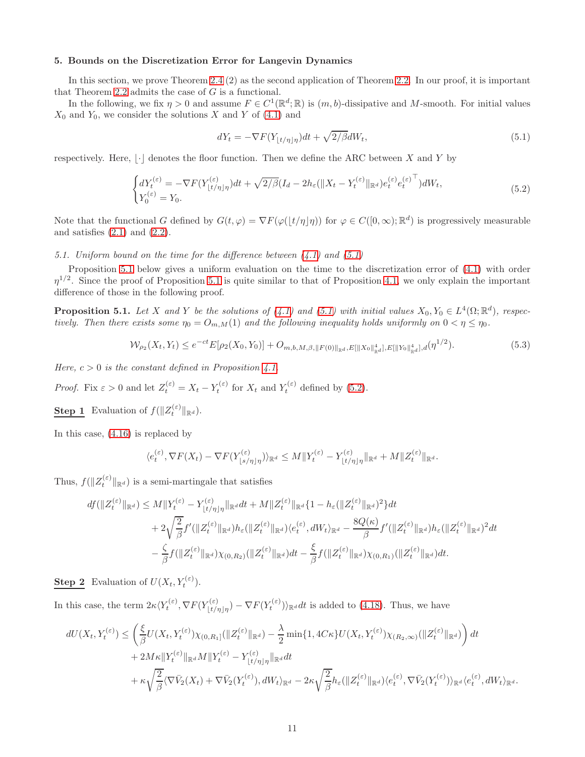#### <span id="page-10-0"></span>5. Bounds on the Discretization Error for Langevin Dynamics

In this section, we prove Theorem [2.4](#page-2-1) (2) as the second application of Theorem [2.2.](#page-2-0) In our proof, it is important that Theorem [2.2](#page-2-0) admits the case of  $G$  is a functional.

In the following, we fix  $\eta > 0$  and assume  $F \in C^1(\mathbb{R}^d; \mathbb{R})$  is  $(m, b)$ -dissipative and M-smooth. For initial values  $X_0$  and  $Y_0$ , we consider the solutions X and Y of [\(4.1\)](#page-5-2) and

<span id="page-10-3"></span><span id="page-10-1"></span>
$$
dY_t = -\nabla F(Y_{\lfloor t/\eta \rfloor \eta})dt + \sqrt{2/\beta}dW_t,
$$
\n(5.1)

respectively. Here,  $|\cdot|$  denotes the floor function. Then we define the ARC between X and Y by

$$
\begin{cases} dY_t^{(\varepsilon)} = -\nabla F(Y_{\lfloor t/\eta \rfloor \eta}^{(\varepsilon)})dt + \sqrt{2/\beta}(I_d - 2h_{\varepsilon}(\|X_t - Y_t^{(\varepsilon)}\|_{\mathbb{R}^d})e_t^{(\varepsilon)}e_t^{(\varepsilon)^{\top}})dW_t, \\ Y_0^{(\varepsilon)} = Y_0. \end{cases} \tag{5.2}
$$

Note that the functional G defined by  $G(t, \varphi) = \nabla F(\varphi(\lfloor t/\eta \rfloor \eta))$  for  $\varphi \in C([0,\infty);\mathbb{R}^d)$  is progressively measurable and satisfies  $(2.1)$  and  $(2.2)$ .

#### 5.1. Uniform bound on the time for the difference between  $(4.1)$  and  $(5.1)$

Proposition [5.1](#page-10-2) below gives a uniform evaluation on the time to the discretization error of [\(4.1\)](#page-5-2) with order  $\eta^{1/2}$ . Since the proof of Proposition [5.1](#page-10-2) is quite similar to that of Proposition [4.1,](#page-6-0) we only explain the important difference of those in the following proof.

<span id="page-10-2"></span>**Proposition 5.1.** Let X and Y be the solutions of [\(4.1\)](#page-5-2) and [\(5.1\)](#page-10-1) with initial values  $X_0, Y_0 \in L^4(\Omega; \mathbb{R}^d)$ , respectively. Then there exists some  $\eta_0 = O_{m,M}(1)$  and the following inequality holds uniformly on  $0 < \eta \leq \eta_0$ .

$$
\mathcal{W}_{\rho_2}(X_t, Y_t) \le e^{-ct} E[\rho_2(X_0, Y_0)] + O_{m, b, M, \beta, \|F(0)\|_{\mathbb{R}^d}, E[\|X_0\|_{\mathbb{R}^d}^4], E[\|Y_0\|_{\mathbb{R}^d}^4], d}(\eta^{1/2}).
$$
\n
$$
(5.3)
$$

Here,  $c > 0$  is the constant defined in Proposition [4.1.](#page-6-0)

*Proof.* Fix  $\varepsilon > 0$  and let  $Z_t^{(\varepsilon)} = X_t - Y_t^{(\varepsilon)}$  for  $X_t$  and  $Y_t^{(\varepsilon)}$  defined by [\(5.2\)](#page-10-3).

**Step 1** Evaluation of  $f(||Z_t^{(\varepsilon)}||_{\mathbb{R}^d})$ .

In this case, [\(4.16\)](#page-7-0) is replaced by

$$
\langle e_t^{(\varepsilon)}, \nabla F(X_t) - \nabla F(Y_{\lfloor s/\eta \rfloor \eta}^{(\varepsilon)}) \rangle_{\mathbb{R}^d} \le M \| Y_t^{(\varepsilon)} - Y_{\lfloor t/\eta \rfloor \eta}^{(\varepsilon)} \|_{\mathbb{R}^d} + M \| Z_t^{(\varepsilon)} \|_{\mathbb{R}^d}.
$$

Thus,  $f(||Z_t^{(\varepsilon)}||_{\mathbb{R}^d})$  is a semi-martingale that satisfies

$$
df(\|Z_t^{(\varepsilon)}\|_{\mathbb{R}^d}) \leq M \|Y_t^{(\varepsilon)} - Y_{\lfloor t/\eta \rfloor \eta}^{(\varepsilon)}\|_{\mathbb{R}^d} dt + M \|Z_t^{(\varepsilon)}\|_{\mathbb{R}^d} \{1 - h_{\varepsilon}(\|Z_t^{(\varepsilon)}\|_{\mathbb{R}^d})^2\} dt + 2\sqrt{\frac{2}{\beta}} f'(\|Z_t^{(\varepsilon)}\|_{\mathbb{R}^d}) h_{\varepsilon}(\|Z_t^{(\varepsilon)}\|_{\mathbb{R}^d}) \langle e_t^{(\varepsilon)}, dW_t \rangle_{\mathbb{R}^d} - \frac{8Q(\kappa)}{\beta} f'(\|Z_t^{(\varepsilon)}\|_{\mathbb{R}^d}) h_{\varepsilon}(\|Z_t^{(\varepsilon)}\|_{\mathbb{R}^d})^2 dt -\frac{\zeta}{\beta} f(\|Z_t^{(\varepsilon)}\|_{\mathbb{R}^d}) \chi_{(0,R_2)}(\|Z_t^{(\varepsilon)}\|_{\mathbb{R}^d}) dt - \frac{\xi}{\beta} f(\|Z_t^{(\varepsilon)}\|_{\mathbb{R}^d}) \chi_{(0,R_1)}(\|Z_t^{(\varepsilon)}\|_{\mathbb{R}^d}) dt.
$$

**Step 2** Evaluation of  $U(X_t, Y_t^{(\varepsilon)})$ .

In this case, the term  $2\kappa \langle Y_t^{(\varepsilon)}, \nabla F(Y_{|t/t}^{(\varepsilon)})\rangle$  $\langle \epsilon^{(\varepsilon)}_{t/\eta|\eta} \rangle - \nabla F(Y_t^{(\varepsilon)}) \rangle_{\mathbb{R}^d} dt$  is added to [\(4.18\)](#page-7-1). Thus, we have

$$
dU(X_t, Y_t^{(\varepsilon)}) \leq \left(\frac{\xi}{\beta} U(X_t, Y_t^{(\varepsilon)}) \chi_{(0,R_1]}(\|Z_t^{(\varepsilon)}\|_{\mathbb{R}^d}) - \frac{\lambda}{2} \min\{1, 4C\kappa\} U(X_t, Y_t^{(\varepsilon)}) \chi_{(R_2,\infty)}(\|Z_t^{(\varepsilon)}\|_{\mathbb{R}^d})\right) dt + 2M\kappa \|Y_t^{(\varepsilon)}\|_{\mathbb{R}^d} M \|Y_t^{(\varepsilon)} - Y_{\lfloor t/\eta \rfloor \eta}^{(\varepsilon)}\|_{\mathbb{R}^d} dt + \kappa \sqrt{\frac{2}{\beta}} \langle \nabla \bar{V}_2(X_t) + \nabla \bar{V}_2(Y_t^{(\varepsilon)}), dW_t \rangle_{\mathbb{R}^d} - 2\kappa \sqrt{\frac{2}{\beta}} h_{\varepsilon}(\|Z_t^{(\varepsilon)}\|_{\mathbb{R}^d}) \langle e_t^{(\varepsilon)}, \nabla \bar{V}_2(Y_t^{(\varepsilon)}) \rangle_{\mathbb{R}^d} \langle e_t^{(\varepsilon)}, dW_t \rangle_{\mathbb{R}^d}.
$$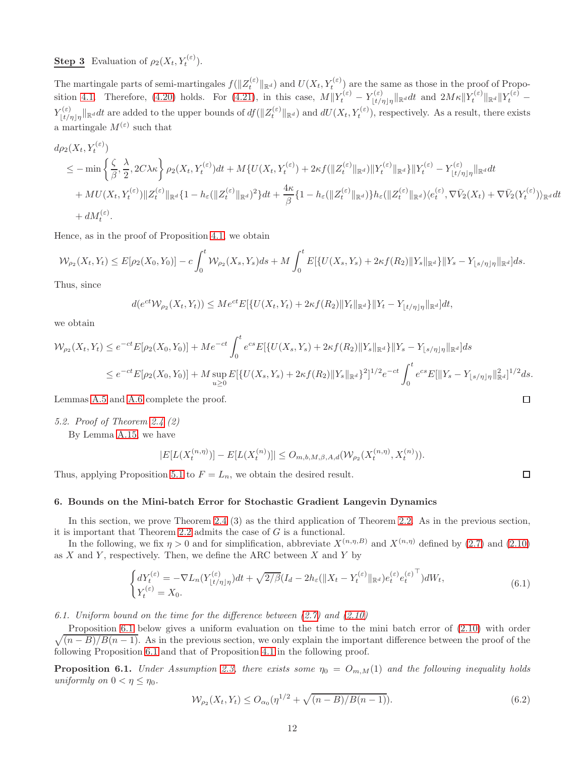# **Step 3** Evaluation of  $\rho_2(X_t, Y_t^{(\varepsilon)})$ .

The martingale parts of semi-martingales  $f(||Z_t^{(\varepsilon)}||_{\mathbb{R}^d})$  and  $U(X_t, Y_t^{(\varepsilon)})$  are the same as those in the proof of Propo-sition [4.1.](#page-6-0) Therefore, [\(4.20\)](#page-8-1) holds. For [\(4.21\)](#page-8-0), in this case,  $M||Y_t^{(\varepsilon)} - Y_{\vert t/t}^{(\varepsilon)}$  $\frac{\mathcal{F}(\varepsilon)}{\lfloor t/\eta \rfloor \eta} \|\mathbb{R}^d}dt$  and  $2M\kappa \|Y_t^{(\varepsilon)}\|_{\mathbb{R}^d} \|Y_t^{(\varepsilon)} Y^{(\varepsilon)}_{\perp}$  $\mathcal{L}^{(\varepsilon)}_{\lfloor t/\eta \rfloor \eta} \|_{\mathbb{R}^d} dt$  are added to the upper bounds of  $df(\|Z_t^{(\varepsilon)}\|_{\mathbb{R}^d})$  and  $dU(X_t, Y_t^{(\varepsilon)})$ , respectively. As a result, there exists a martingale  $M^{(\varepsilon)}$  such that

$$
d\rho_2(X_t, Y_t^{(\varepsilon)})
$$
  
\n
$$
\leq -\min\left\{\frac{\zeta}{\beta}, \frac{\lambda}{2}, 2C\lambda\kappa\right\}\rho_2(X_t, Y_t^{(\varepsilon)})dt + M\left\{U(X_t, Y_t^{(\varepsilon)}) + 2\kappa f(\|Z_t^{(\varepsilon)}\|_{\mathbb{R}^d})\|Y_t^{(\varepsilon)}\|_{\mathbb{R}^d}\right\}\|Y_t^{(\varepsilon)} - Y_{\lfloor t/\eta \rfloor\eta}^{(\varepsilon)}\|_{\mathbb{R}^d}dt
$$
  
\n
$$
+ MU(X_t, Y_t^{(\varepsilon)})\|Z_t^{(\varepsilon)}\|_{\mathbb{R}^d}\left\{1 - h_{\varepsilon}\|Z_t^{(\varepsilon)}\|_{\mathbb{R}^d}\right\}dt + \frac{4\kappa}{\beta}\left\{1 - h_{\varepsilon}\|Z_t^{(\varepsilon)}\|_{\mathbb{R}^d}\right\}h_{\varepsilon}\big\|\|Z_t^{(\varepsilon)}\|_{\mathbb{R}^d}\big\}\langle e_t^{(\varepsilon)}, \nabla\bar{V}_2(X_t) + \nabla\bar{V}_2(Y_t^{(\varepsilon)})\rangle_{\mathbb{R}^d}dt
$$
  
\n
$$
+ dM_t^{(\varepsilon)}.
$$

Hence, as in the proof of Proposition [4.1,](#page-6-0) we obtain

$$
\mathcal{W}_{\rho_2}(X_t, Y_t) \leq E[\rho_2(X_0, Y_0)] - c \int_0^t \mathcal{W}_{\rho_2}(X_s, Y_s) ds + M \int_0^t E[\{U(X_s, Y_s) + 2\kappa f(R_2) \|Y_s\|_{\mathbb{R}^d}\} | Y_s - Y_{\lfloor s/\eta \rfloor \eta} \|_{\mathbb{R}^d}] ds.
$$

Thus, since

$$
d(e^{ct}\mathcal{W}_{\rho_2}(X_t,Y_t)) \leq Me^{ct}E[\{U(X_t,Y_t) + 2\kappa f(R_2) \|Y_t\|_{\mathbb{R}^d}\} | Y_t - Y_{\lfloor t/\eta \rfloor \eta} \|_{\mathbb{R}^d}]dt,
$$

we obtain

$$
\mathcal{W}_{\rho_2}(X_t, Y_t) \le e^{-ct} E[\rho_2(X_0, Y_0)] + Me^{-ct} \int_0^t e^{cs} E[\{U(X_s, Y_s) + 2\kappa f(R_2) \|Y_s\|_{\mathbb{R}^d}\} | Y_s - Y_{\lfloor s/\eta \rfloor \eta} \|_{\mathbb{R}^d}] ds
$$
  

$$
\le e^{-ct} E[\rho_2(X_0, Y_0)] + M \sup_{u \ge 0} E[\{U(X_s, Y_s) + 2\kappa f(R_2) \|Y_s\|_{\mathbb{R}^d}\}^2]^{1/2} e^{-ct} \int_0^t e^{cs} E[\|Y_s - Y_{\lfloor s/\eta \rfloor \eta} \|_{\mathbb{R}^d}^2]^{1/2} ds.
$$

Lemmas [A.5](#page-15-0) and [A.6](#page-16-0) complete the proof.

## 5.2. Proof of Theorem [2.4](#page-2-1) (2)

By Lemma [A.15,](#page-18-3) we have

$$
|E[L(X_t^{(n,\eta)})] - E[L(X_t^{(n)})]| \leq O_{m,b,M,\beta,A,d}(\mathcal{W}_{\rho_2}(X_t^{(n,\eta)}, X_t^{(n)})).
$$

Thus, applying Proposition [5.1](#page-10-2) to  $F = L_n$ , we obtain the desired result.

# <span id="page-11-0"></span>6. Bounds on the Mini-batch Error for Stochastic Gradient Langevin Dynamics

In this section, we prove Theorem [2.4](#page-2-1) (3) as the third application of Theorem [2.2.](#page-2-0) As in the previous section, it is important that Theorem [2.2](#page-2-0) admits the case of G is a functional.

In the following, we fix  $\eta > 0$  and for simplification, abbreviate  $X^{(n,\eta,B)}$  and  $X^{(n,\eta)}$  defined by [\(2.7\)](#page-2-4) and [\(2.10\)](#page-2-6) as  $X$  and  $Y$ , respectively. Then, we define the ARC between  $X$  and  $Y$  by

$$
\begin{cases} dY_t^{(\varepsilon)} = -\nabla L_n(Y_{\lfloor t/\eta \rfloor \eta}^{(\varepsilon)}) dt + \sqrt{2/\beta} (I_d - 2h_{\varepsilon}(\|X_t - Y_t^{(\varepsilon)}\|_{\mathbb{R}^d}) e_t^{(\varepsilon)} e_t^{(\varepsilon)} \Big)^{\top} dW_t, \\ Y_t^{(\varepsilon)} = X_0. \end{cases} \tag{6.1}
$$

6.1. Uniform bound on the time for the difference between [\(2.7\)](#page-2-4) and [\(2.10\)](#page-2-6)

 $\sqrt{(n-B)/B(n-1)}$ . As in the previous section, we only explain the important difference between the proof of the Proposition [6.1](#page-11-1) below gives a uniform evaluation on the time to the mini batch error of [\(2.10\)](#page-2-6) with order following Proposition [6.1](#page-11-1) and that of Proposition [4.1](#page-6-0) in the following proof.

<span id="page-11-1"></span>**Proposition 6.1.** Under Assumption [2.3,](#page-2-7) there exists some  $\eta_0 = O_{m,M}(1)$  and the following inequality holds uniformly on  $0 < \eta \leq \eta_0$ .

$$
\mathcal{W}_{\rho_2}(X_t, Y_t) \le O_{\alpha_0}(\eta^{1/2} + \sqrt{(n-B)/B(n-1)}).
$$
\n(6.2)

<span id="page-11-2"></span> $\Box$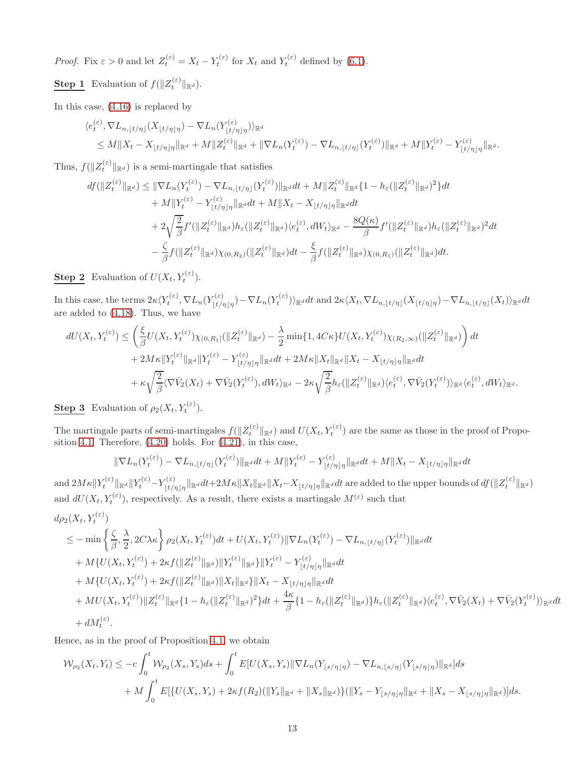*Proof.* Fix  $\varepsilon > 0$  and let  $Z_t^{(\varepsilon)} = X_t - Y_t^{(\varepsilon)}$  for  $X_t$  and  $Y_t^{(\varepsilon)}$  defined by [\(6.1\)](#page-11-2).

**Step 1** Evaluation of  $f(||Z_t^{(\varepsilon)}||_{\mathbb{R}^d})$ .

In this case, [\(4.16\)](#page-7-0) is replaced by

$$
\langle e_t^{(\varepsilon)}, \nabla L_{n, \lfloor t/\eta \rfloor}(X_{\lfloor t/\eta \rfloor \eta}) - \nabla L_n(Y_{\lfloor t/\eta \rfloor \eta}^{(\varepsilon)})\rangle_{\mathbb{R}^d}
$$
  
\n
$$
\leq M \|X_t - X_{\lfloor t/\eta \rfloor \eta} \|_{\mathbb{R}^d} + M \|Z_t^{(\varepsilon)}\|_{\mathbb{R}^d} + \|\nabla L_n(Y_t^{(\varepsilon)}) - \nabla L_{n, \lfloor t/\eta \rfloor}(Y_t^{(\varepsilon)})\|_{\mathbb{R}^d} + M \|Y_t^{(\varepsilon)} - Y_{\lfloor t/\eta \rfloor \eta}^{(\varepsilon)}\|_{\mathbb{R}^d}.
$$

Thus,  $f(||Z_t^{(\varepsilon)}||_{\mathbb{R}^d})$  is a semi-martingale that satisfies

$$
df(\|Z_t^{(\varepsilon)}\|_{\mathbb{R}^d}) \leq \|\nabla L_n(Y_t^{(\varepsilon)}) - \nabla L_{n,\lfloor t/\eta \rfloor}(Y_t^{(\varepsilon)})\|_{\mathbb{R}^d}dt + M\|Z_t^{(\varepsilon)}\|_{\mathbb{R}^d}\{1 - h_{\varepsilon}(\|Z_t^{(\varepsilon)}\|_{\mathbb{R}^d})^2\}dt + M\|Y_t^{(\varepsilon)} - Y_{\lfloor t/\eta \rfloor \eta}^{(\varepsilon)}\|_{\mathbb{R}^d}dt + M\|X_t - X_{\lfloor t/\eta \rfloor \eta}\|_{\mathbb{R}^d}dt + 2\sqrt{\frac{2}{\beta}}f'(\|Z_t^{(\varepsilon)}\|_{\mathbb{R}^d})h_{\varepsilon}(\|Z_t^{(\varepsilon)}\|_{\mathbb{R}^d})\langle e_t^{(\varepsilon)}, dW_t\rangle_{\mathbb{R}^d} - \frac{8Q(\kappa)}{\beta}f'(\|Z_t^{(\varepsilon)}\|_{\mathbb{R}^d})h_{\varepsilon}(\|Z_t^{(\varepsilon)}\|_{\mathbb{R}^d})^2dt -\frac{\zeta}{\beta}f(\|Z_t^{(\varepsilon)}\|_{\mathbb{R}^d})\chi_{(0,R_2)}(\|Z_t^{(\varepsilon)}\|_{\mathbb{R}^d})dt - \frac{\xi}{\beta}f(\|Z_t^{(\varepsilon)}\|_{\mathbb{R}^d})\chi_{(0,R_1)}(\|Z_t^{(\varepsilon)}\|_{\mathbb{R}^d})dt.
$$

**Step 2** Evaluation of  $U(X_t, Y_t^{(\varepsilon)})$ .

In this case, the terms  $2\kappa \langle Y_t^{(\varepsilon)}, \nabla L_n(Y_{|t/\varepsilon})\rangle$  $\frac{\mathcal{L}(\varepsilon)}{|\mathcal{L}/\eta| \eta}$ ) –  $\nabla L_n(Y_t^{(\varepsilon)})_{\mathbb{R}^d} dt$  and  $2\kappa \langle X_t, \nabla L_{n, \lfloor t/\eta \rfloor}(X_{\lfloor t/\eta \rfloor \eta}) - \nabla L_{n, \lfloor t/\eta \rfloor}(X_t) \rangle_{\mathbb{R}^d} dt$ are added to [\(4.18\)](#page-7-1). Thus, we have

$$
dU(X_t, Y_t^{(\varepsilon)}) \leq \left(\frac{\xi}{\beta}U(X_t, Y_t^{(\varepsilon)})\chi_{(0,R_1]}(\|Z_t^{(\varepsilon)}\|_{\mathbb{R}^d}) - \frac{\lambda}{2}\min\{1, 4C\kappa\}U(X_t, Y_t^{(\varepsilon)})\chi_{(R_2,\infty)}(\|Z_t^{(\varepsilon)}\|_{\mathbb{R}^d})\right)dt
$$
  
+  $2M\kappa\|Y_t^{(\varepsilon)}\|_{\mathbb{R}^d}\|Y_t^{(\varepsilon)} - Y_{\lfloor t/\eta \rfloor \eta}^{(\varepsilon)}\|_{\mathbb{R}^d}dt + 2M\kappa\|X_t\|_{\mathbb{R}^d}\|X_t - X_{\lfloor t/\eta \rfloor \eta}\|_{\mathbb{R}^d}dt$   
+  $\kappa\sqrt{\frac{2}{\beta}}\langle\nabla\bar{V}_2(X_t) + \nabla\bar{V}_2(Y_t^{(\varepsilon)}), dW_t\rangle_{\mathbb{R}^d} - 2\kappa\sqrt{\frac{2}{\beta}}h_{\varepsilon}(\|Z_t^{(\varepsilon)}\|_{\mathbb{R}^d})\langle e_t^{(\varepsilon)}, \nabla\bar{V}_2(Y_t^{(\varepsilon)})\rangle_{\mathbb{R}^d}\langle e_t^{(\varepsilon)}, dW_t\rangle_{\mathbb{R}^d}.$ 

**Step 3** Evaluation of  $\rho_2(X_t, Y_t^{(\varepsilon)})$ .

The martingale parts of semi-martingales  $f(||Z_t^{(\varepsilon)}||_{\mathbb{R}^d})$  and  $U(X_t, Y_t^{(\varepsilon)})$  are the same as those in the proof of Proposition [4.1.](#page-6-0) Therefore, [\(4.20\)](#page-8-1) holds. For [\(4.21\)](#page-8-0), in this case,

$$
\|\nabla L_n(Y_t^{(\varepsilon)}) - \nabla L_{n,\lfloor t/\eta \rfloor}(Y_t^{(\varepsilon)})\|_{\mathbb{R}^d}dt + M\|Y_t^{(\varepsilon)} - Y_{\lfloor t/\eta \rfloor \eta}^{(\varepsilon)}\|_{\mathbb{R}^d}dt + M\|X_t - X_{\lfloor t/\eta \rfloor \eta}\|_{\mathbb{R}^d}dt
$$

and  $2M\kappa\|Y^{(\varepsilon)}_t\|_{\mathbb{R}^d}\|Y^{(\varepsilon)}_t-Y^{(\varepsilon)}_{|t|_t}$  $\mathcal{F}^{(\varepsilon)}_{\lfloor t/\eta \rfloor \eta} \|_{\mathbb{R}^d} dt + 2 M \kappa \|X_t\|_{\mathbb{R}^d} \|X_t - X_{\lfloor t/\eta \rfloor \eta} \|_{\mathbb{R}^d} dt \text{ are added to the upper bounds of } df(\|Z^{(\varepsilon)}_t\|_{\mathbb{R}^d})$ and  $dU(X_t, Y_t^{(\varepsilon)})$ , respectively. As a result, there exists a martingale  $M^{(\varepsilon)}$  such that

$$
d\rho_2(X_t, Y_t^{(\varepsilon)})
$$
  
\n
$$
\leq -\min\left\{\frac{\zeta}{\beta}, \frac{\lambda}{2}, 2C\lambda\kappa\right\}\rho_2(X_t, Y_t^{(\varepsilon)})dt + U(X_t, Y_t^{(\varepsilon)})\|\nabla L_n(Y_t^{(\varepsilon)}) - \nabla L_{n, \lfloor t/\eta \rfloor}(Y_t^{(\varepsilon)})\|_{\mathbb{R}^d}dt
$$
  
\n
$$
+ M\{U(X_t, Y_t^{(\varepsilon)}) + 2\kappa f(\|Z_t^{(\varepsilon)}\|_{\mathbb{R}^d})\|Y_t^{(\varepsilon)}\|_{\mathbb{R}^d}\}\|Y_t^{(\varepsilon)} - Y_{\lfloor t/\eta \rfloor\eta}^{(\varepsilon)}\|_{\mathbb{R}^d}dt
$$
  
\n
$$
+ M\{U(X_t, Y_t^{(\varepsilon)}) + 2\kappa f(\|Z_t^{(\varepsilon)}\|_{\mathbb{R}^d})\|X_t\|_{\mathbb{R}^d}\|X_t - X_{\lfloor t/\eta \rfloor\eta}\|_{\mathbb{R}^d}dt
$$
  
\n
$$
+ MU(X_t, Y_t^{(\varepsilon)})\|Z_t^{(\varepsilon)}\|_{\mathbb{R}^d}\{1 - h_{\varepsilon}(\|Z_t^{(\varepsilon)}\|_{\mathbb{R}^d})^2\}dt + \frac{4\kappa}{\beta}\{1 - h_{\varepsilon}(\|Z_t^{(\varepsilon)}\|_{\mathbb{R}^d})\}h_{\varepsilon}(\|Z_t^{(\varepsilon)}\|_{\mathbb{R}^d})\langle e_t^{(\varepsilon)}, \nabla \bar{V}_2(X_t) + \nabla \bar{V}_2(Y_t^{(\varepsilon)})\rangle_{\mathbb{R}^d}dt
$$
  
\n
$$
+ dM_t^{(\varepsilon)}.
$$

Hence, as in the proof of Proposition [4.1,](#page-6-0) we obtain

$$
\mathcal{W}_{\rho_2}(X_t, Y_t) \le -c \int_0^t \mathcal{W}_{\rho_2}(X_s, Y_s) ds + \int_0^t E[U(X_s, Y_s) \| \nabla L_n(Y_{\lfloor s/\eta \rfloor \eta}) - \nabla L_{n,\lfloor s/\eta \rfloor}(Y_{\lfloor s/\eta \rfloor \eta}) \|_{\mathbb{R}^d}] ds + M \int_0^t E[\{U(X_s, Y_s) + 2\kappa f(R_2)(\|Y_s\|_{\mathbb{R}^d} + \|X_s\|_{\mathbb{R}^d})\}(\|Y_s - Y_{\lfloor s/\eta \rfloor \eta} \|_{\mathbb{R}^d} + \|X_s - X_{\lfloor s/\eta \rfloor \eta} \|_{\mathbb{R}^d})] ds.
$$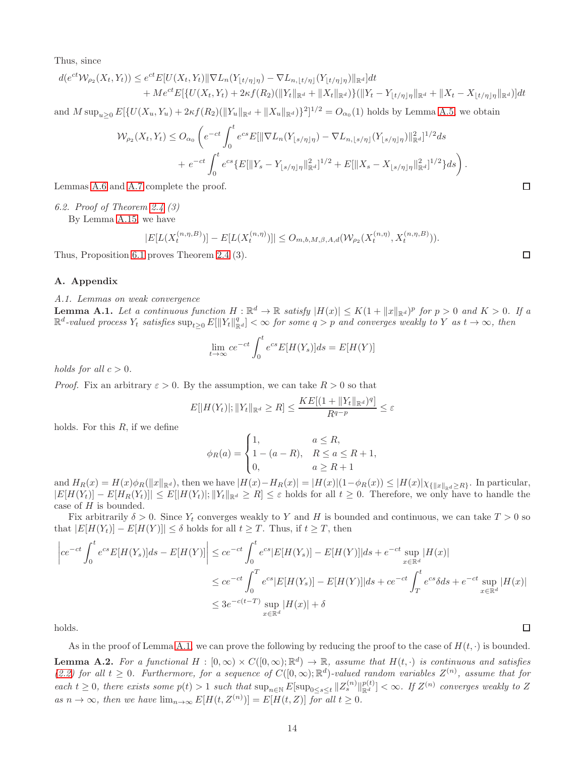Thus, since

$$
d(e^{ct}W_{\rho_2}(X_t, Y_t)) \leq e^{ct} E[U(X_t, Y_t) \| \nabla L_n(Y_{\lfloor t/\eta \rfloor \eta}) - \nabla L_{n, \lfloor t/\eta \rfloor}(Y_{\lfloor t/\eta \rfloor \eta})\|_{\mathbb{R}^d}] dt + Me^{ct} E[\{U(X_t, Y_t) + 2\kappa f(R_2)(\|Y_t\|_{\mathbb{R}^d} + \|X_t\|_{\mathbb{R}^d})\}(\|Y_t - Y_{\lfloor t/\eta \rfloor \eta}\|_{\mathbb{R}^d} + \|X_t - X_{\lfloor t/\eta \rfloor \eta}\|_{\mathbb{R}^d})] dt
$$

and  $M \sup_{u \geq 0} E[\{U(X_u, Y_u) + 2\kappa f(R_2)(\|Y_u\|_{\mathbb{R}^d} + \|X_u\|_{\mathbb{R}^d})\}^2]^{1/2} = O_{\alpha_0}(1)$  holds by Lemma [A.5,](#page-15-0) we obtain

$$
\mathcal{W}_{\rho_2}(X_t, Y_t) \leq O_{\alpha_0} \left( e^{-ct} \int_0^t e^{cs} E[\|\nabla L_n(Y_{\lfloor s/\eta \rfloor \eta}) - \nabla L_{n,\lfloor s/\eta \rfloor}(Y_{\lfloor s/\eta \rfloor \eta})\|_{\mathbb{R}^d}^2]^{1/2} ds + e^{-ct} \int_0^t e^{cs} \{ E[\|Y_s - Y_{\lfloor s/\eta \rfloor \eta}\|_{\mathbb{R}^d}^2]^{1/2} + E[\|X_s - X_{\lfloor s/\eta \rfloor \eta}\|_{\mathbb{R}^d}^2]^{1/2} \} ds \right).
$$

 $\Box$ 

 $\Box$ 

 $\Box$ 

Lemmas [A.6](#page-16-0) and [A.7](#page-17-5) complete the proof.

6.2. Proof of Theorem [2.4](#page-2-1) (3)

By Lemma [A.15,](#page-18-3) we have

$$
|E[L(X_t^{(n,\eta,B)})] - E[L(X_t^{(n,\eta)})]| \leq O_{m,b,M,\beta,A,d}(\mathcal{W}_{\rho_2}(X_t^{(n,\eta)},X_t^{(n,\eta,B)})).
$$

Thus, Proposition [6.1](#page-11-1) proves Theorem [2.4](#page-2-1) (3).

#### A. Appendix

# A.1. Lemmas on weak convergence

<span id="page-13-1"></span>**Lemma A.1.** Let a continuous function  $H : \mathbb{R}^d \to \mathbb{R}$  satisfy  $|H(x)| \le K(1 + ||x||_{\mathbb{R}^d})^p$  for  $p > 0$  and  $K > 0$ . If a  $\mathbb{R}^d$ -valued process  $Y_t$  satisfies  $\sup_{t\geq 0} E[||Y_t||^q_{\mathbb{R}^d}] < \infty$  for some  $q > p$  and converges weakly to Y as  $t \to \infty$ , then

$$
\lim_{t \to \infty} ce^{-ct} \int_0^t e^{cs} E[H(Y_s)] ds = E[H(Y)]
$$

holds for all  $c > 0$ .

*Proof.* Fix an arbitrary  $\varepsilon > 0$ . By the assumption, we can take  $R > 0$  so that

$$
E[|H(Y_t)|; \|Y_t\|_{\mathbb{R}^d} \ge R] \le \frac{KE[(1 + \|Y_t\|_{\mathbb{R}^d})^q]}{R^{q-p}} \le \varepsilon
$$

holds. For this  $R$ , if we define

$$
\phi_R(a) = \begin{cases} 1, & a \le R, \\ 1 - (a - R), & R \le a \le R + 1, \\ 0, & a \ge R + 1 \end{cases}
$$

and  $H_R(x) = H(x)\phi_R(\|x\|_{\mathbb R^d})$ , then we have  $|H(x)-H_R(x)| = |H(x)|(1-\phi_R(x)) \leq |H(x)|\chi_{\{\|x\|_{\mathbb R^d}\geq R\}}$ . In particular,  $|E[H(Y_t)] - E[H_R(Y_t)]| \leq E[|H(Y_t)|; |Y_t|_{\mathbb{R}^d} \geq R] \leq \varepsilon$  holds for all  $t \geq 0$ . Therefore, we only have to handle the case of H is bounded.

Fix arbitrarily  $\delta > 0$ . Since  $Y_t$  converges weakly to Y and H is bounded and continuous, we can take  $T > 0$  so that  $|E[H(Y_t)] - E[H(Y)]| \leq \delta$  holds for all  $t \geq T$ . Thus, if  $t \geq T$ , then

$$
\left| c e^{-ct} \int_0^t e^{cs} E[H(Y_s)] ds - E[H(Y)] \right| \le c e^{-ct} \int_0^t e^{cs} |E[H(Y_s)] - E[H(Y)]| ds + e^{-ct} \sup_{x \in \mathbb{R}^d} |H(x)|
$$
  

$$
\le c e^{-ct} \int_0^T e^{cs} |E[H(Y_s)] - E[H(Y)]| ds + c e^{-ct} \int_T^t e^{cs} \delta ds + e^{-ct} \sup_{x \in \mathbb{R}^d} |H(x)|
$$
  

$$
\le 3 e^{-c(t-T)} \sup_{x \in \mathbb{R}^d} |H(x)| + \delta
$$

holds.

As in the proof of Lemma [A.1,](#page-13-1) we can prove the following by reducing the proof to the case of  $H(t, \cdot)$  is bounded.

<span id="page-13-0"></span>**Lemma A.2.** For a functional  $H : [0, \infty) \times C([0, \infty); \mathbb{R}^d) \to \mathbb{R}$ , assume that  $H(t, \cdot)$  is continuous and satisfies [\(2.2\)](#page-1-6) for all  $t \geq 0$ . Furthermore, for a sequence of  $C([0,\infty);\mathbb{R}^d)$ -valued random variables  $Z^{(n)}$ , assume that for each  $t \geq 0$ , there exists some  $p(t) > 1$  such that  $\sup_{n \in \mathbb{N}} E[\sup_{0 \leq s \leq t} ||Z_s^{(n)}||_{\mathbb{R}^d}^{p(t)}] < \infty$ . If  $Z^{(n)}$  converges weakly to Z as  $n \to \infty$ , then we have  $\lim_{n \to \infty} E[H(t, Z^{(n)})] = E[H(t, Z)]$  for all  $t \geq 0$ .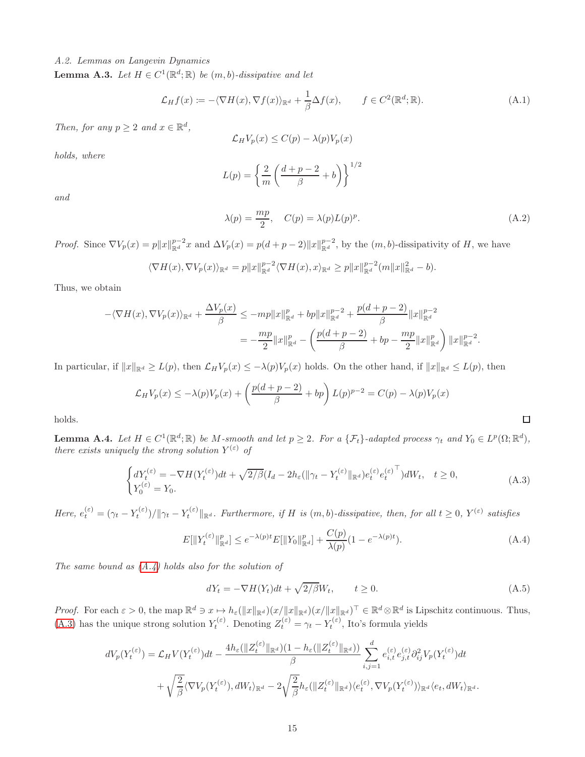#### A.2. Lemmas on Langevin Dynamics

<span id="page-14-0"></span>**Lemma A.3.** Let  $H \in C^1(\mathbb{R}^d; \mathbb{R})$  be  $(m, b)$ -dissipative and let

$$
\mathcal{L}_H f(x) := -\langle \nabla H(x), \nabla f(x) \rangle_{\mathbb{R}^d} + \frac{1}{\beta} \Delta f(x), \qquad f \in C^2(\mathbb{R}^d; \mathbb{R}). \tag{A.1}
$$

Then, for any  $p \geq 2$  and  $x \in \mathbb{R}^d$ ,

$$
\mathcal{L}_H V_p(x) \le C(p) - \lambda(p) V_p(x)
$$

holds, where

$$
L(p) = \left\{ \frac{2}{m} \left( \frac{d+p-2}{\beta} + b \right) \right\}^{1/2}
$$

and

$$
\lambda(p) = \frac{mp}{2}, \quad C(p) = \lambda(p)L(p)^p. \tag{A.2}
$$

<span id="page-14-4"></span><span id="page-14-3"></span><span id="page-14-2"></span> $\Box$ 

*Proof.* Since  $\nabla V_p(x) = p||x||_{\mathbb{R}^d}^{p-2}x$  and  $\Delta V_p(x) = p(d+p-2)||x||_{\mathbb{R}^d}^{p-2}$ , by the  $(m, b)$ -dissipativity of H, we have

$$
\langle \nabla H(x), \nabla V_p(x) \rangle_{\mathbb{R}^d} = p \|x\|_{\mathbb{R}^d}^{p-2} \langle \nabla H(x), x \rangle_{\mathbb{R}^d} \ge p \|x\|_{\mathbb{R}^d}^{p-2} (m \|x\|_{\mathbb{R}^d}^2 - b).
$$

Thus, we obtain

$$
-\langle \nabla H(x), \nabla V_p(x) \rangle_{\mathbb{R}^d} + \frac{\Delta V_p(x)}{\beta} \le -mp \|x\|_{\mathbb{R}^d}^p + bp \|x\|_{\mathbb{R}^d}^{p-2} + \frac{p(d+p-2)}{\beta} \|x\|_{\mathbb{R}^d}^{p-2}
$$
  
= 
$$
-\frac{mp}{2} \|x\|_{\mathbb{R}^d}^p - \left(\frac{p(d+p-2)}{\beta} + bp - \frac{mp}{2} \|x\|_{\mathbb{R}^d}^p\right) \|x\|_{\mathbb{R}^d}^{p-2}.
$$

In particular, if  $||x||_{\mathbb{R}^d} \ge L(p)$ , then  $\mathcal{L}_H V_p(x) \le -\lambda(p)V_p(x)$  holds. On the other hand, if  $||x||_{\mathbb{R}^d} \le L(p)$ , then

$$
\mathcal{L}_H V_p(x) \le -\lambda(p) V_p(x) + \left(\frac{p(d+p-2)}{\beta} + bp\right) L(p)^{p-2} = C(p) - \lambda(p) V_p(x)
$$

holds.

<span id="page-14-1"></span>**Lemma A.4.** Let  $H \in C^1(\mathbb{R}^d; \mathbb{R})$  be M-smooth and let  $p \geq 2$ . For a  $\{\mathcal{F}_t\}$ -adapted process  $\gamma_t$  and  $Y_0 \in L^p(\Omega; \mathbb{R}^d)$ , there exists uniquely the strong solution  $Y^{(\varepsilon)}$  of

$$
\begin{cases} dY_t^{(\varepsilon)} = -\nabla H(Y_t^{(\varepsilon)})dt + \sqrt{2/\beta}(I_d - 2h_{\varepsilon}(\|\gamma_t - Y_t^{(\varepsilon)}\|_{\mathbb{R}^d})e_t^{(\varepsilon)}e_t^{(\varepsilon)^{\top}})dW_t, & t \ge 0, \\ Y_0^{(\varepsilon)} = Y_0. \end{cases}
$$
(A.3)

Here,  $e_t^{(\varepsilon)} = (\gamma_t - Y_t^{(\varepsilon)})/||\gamma_t - Y_t^{(\varepsilon)}||_{\mathbb{R}^d}$ . Furthermore, if H is  $(m, b)$ -dissipative, then, for all  $t \geq 0$ ,  $Y^{(\varepsilon)}$  satisfies

$$
E[\|Y_t^{(\varepsilon)}\|_{\mathbb{R}^d}^p] \le e^{-\lambda(p)t} E[\|Y_0\|_{\mathbb{R}^d}^p] + \frac{C(p)}{\lambda(p)} (1 - e^{-\lambda(p)t}).\tag{A.4}
$$

The same bound as  $(A.4)$  holds also for the solution of

$$
dY_t = -\nabla H(Y_t)dt + \sqrt{2/\beta}W_t, \qquad t \ge 0.
$$
\n(A.5)

*Proof.* For each  $\varepsilon > 0$ , the map  $\mathbb{R}^d \ni x \mapsto h_{\varepsilon}(\|x\|_{\mathbb{R}^d})(x/\|x\|_{\mathbb{R}^d})(x/\|x\|_{\mathbb{R}^d})^{\top} \in \mathbb{R}^d \otimes \mathbb{R}^d$  is Lipschitz continuous. Thus, [\(A.3\)](#page-14-3) has the unique strong solution  $Y_t^{(\varepsilon)}$ . Denoting  $Z_t^{(\varepsilon)} = \gamma_t - Y_t^{(\varepsilon)}$ , Ito's formula yields

$$
dV_p(Y_t^{(\varepsilon)}) = \mathcal{L}_H V(Y_t^{(\varepsilon)}) dt - \frac{4h_{\varepsilon}(\|Z_t^{(\varepsilon)}\|_{\mathbb{R}^d})(1 - h_{\varepsilon}(\|Z_t^{(\varepsilon)}\|_{\mathbb{R}^d}))}{\beta} \sum_{i,j=1}^d e_{i,t}^{(\varepsilon)} e_{j,t}^{(\varepsilon)} \partial_{ij}^2 V_p(Y_t^{(\varepsilon)}) dt + \sqrt{\frac{2}{\beta}} \langle \nabla V_p(Y_t^{(\varepsilon)}), dW_t \rangle_{\mathbb{R}^d} - 2\sqrt{\frac{2}{\beta}} h_{\varepsilon}(\|Z_t^{(\varepsilon)}\|_{\mathbb{R}^d}) \langle e_t^{(\varepsilon)}, \nabla V_p(Y_t^{(\varepsilon)}) \rangle_{\mathbb{R}^d} \langle e_t, dW_t \rangle_{\mathbb{R}^d}.
$$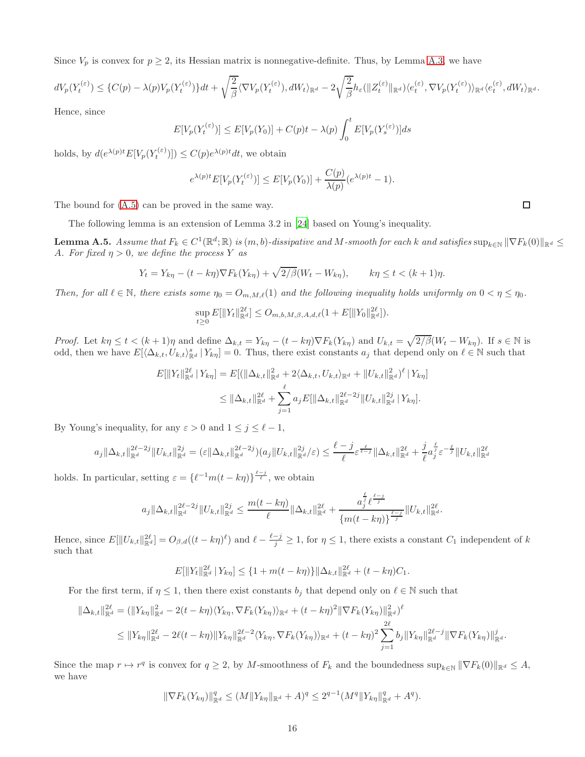Since  $V_p$  is convex for  $p \geq 2$ , its Hessian matrix is nonnegative-definite. Thus, by Lemma [A.3,](#page-14-0) we have

$$
dV_p(Y_t^{(\varepsilon)}) \leq \{C(p) - \lambda(p)V_p(Y_t^{(\varepsilon)})\}dt + \sqrt{\frac{2}{\beta}}\langle \nabla V_p(Y_t^{(\varepsilon)}), dW_t \rangle_{\mathbb{R}^d} - 2\sqrt{\frac{2}{\beta}}h_{\varepsilon}(\|Z_t^{(\varepsilon)}\|_{\mathbb{R}^d})\langle e_t^{(\varepsilon)}, \nabla V_p(Y_t^{(\varepsilon)}) \rangle_{\mathbb{R}^d}\langle e_t^{(\varepsilon)}, dW_t \rangle_{\mathbb{R}^d}.
$$

Hence, since

$$
E[V_p(Y_t^{(\varepsilon)})] \le E[V_p(Y_0)] + C(p)t - \lambda(p)\int_0^t E[V_p(Y_s^{(\varepsilon)})]ds
$$

holds, by  $d(e^{\lambda(p)t}E[V_p(Y_t^{(\varepsilon)})]) \leq C(p)e^{\lambda(p)t}dt$ , we obtain

$$
e^{\lambda(p)t} E[V_p(Y_t^{(\varepsilon)})] \le E[V_p(Y_0)] + \frac{C(p)}{\lambda(p)}(e^{\lambda(p)t} - 1).
$$

The bound for [\(A.5\)](#page-14-4) can be proved in the same way.

The following lemma is an extension of Lemma 3.2 in [\[24\]](#page-20-4) based on Young's inequality.

<span id="page-15-0"></span>**Lemma A.5.** Assume that  $F_k \in C^1(\mathbb{R}^d;\mathbb{R})$  is  $(m,b)$ -dissipative and M-smooth for each k and satisfies  $\sup_{k\in\mathbb{N}}\|\nabla F_k(0)\|_{\mathbb{R}^d} \leq$ A. For fixed  $\eta > 0$ , we define the process Y as

$$
Y_t = Y_{k\eta} - (t - k\eta)\nabla F_k(Y_{k\eta}) + \sqrt{2/\beta}(W_t - W_{k\eta}), \qquad k\eta \le t < (k+1)\eta.
$$

Then, for all  $\ell \in \mathbb{N}$ , there exists some  $\eta_0 = O_{m,M,\ell}(1)$  and the following inequality holds uniformly on  $0 < \eta \leq \eta_0$ .

$$
\sup_{t\geq 0} E[||Y_t||_{\mathbb{R}^d}^{2\ell}] \leq O_{m,b,M,\beta,A,d,\ell}(1+E[||Y_0||_{\mathbb{R}^d}^{2\ell}]).
$$

*Proof.* Let  $k\eta \leq t < (k+1)\eta$  and define  $\Delta_{k,t} = Y_{k\eta} - (t - k\eta)\nabla F_k(Y_{k\eta})$  and  $U_{k,t} = \sqrt{2/\beta}(W_t - W_{k\eta})$ . If  $s \in \mathbb{N}$  is odd, then we have  $E[\langle \Delta_{k,t}, U_{k,t} \rangle_{\mathbb{R}^d}^s | Y_{k\eta}] = 0$ . Thus, there exist constants  $a_j$  that depend only on  $\ell \in \mathbb{N}$  such that

$$
E[\|Y_t\|_{\mathbb{R}^d}^{2\ell} | Y_{k\eta}] = E[(\|\Delta_{k,t}\|_{\mathbb{R}^d}^2 + 2\langle \Delta_{k,t}, U_{k,t} \rangle_{\mathbb{R}^d} + \|U_{k,t}\|_{\mathbb{R}^d}^2)^{\ell} | Y_{k\eta}]
$$
  

$$
\leq \|\Delta_{k,t}\|_{\mathbb{R}^d}^{2\ell} + \sum_{j=1}^{\ell} a_j E[\|\Delta_{k,t}\|_{\mathbb{R}^d}^{2\ell-2j} \|U_{k,t}\|_{\mathbb{R}^d}^{2j} | Y_{k\eta}].
$$

By Young's inequality, for any  $\varepsilon > 0$  and  $1 \le j \le \ell - 1$ ,

$$
a_j \|\Delta_{k,t}\|_{\mathbb{R}^d}^{2\ell-2j} \|U_{k,t}\|_{\mathbb{R}^d}^{2j} = (\varepsilon \|\Delta_{k,t}\|_{\mathbb{R}^d}^{2\ell-2j})(a_j \|U_{k,t}\|_{\mathbb{R}^d}^{2j}/\varepsilon) \le \frac{\ell-j}{\ell} \varepsilon^{\frac{\ell}{\ell-j}} \|\Delta_{k,t}\|_{\mathbb{R}^d}^{2\ell} + \frac{j}{\ell} a_j^{\frac{\ell}{j}} \varepsilon^{-\frac{\ell}{j}} \|U_{k,t}\|_{\mathbb{R}^d}^{2\ell}
$$

holds. In particular, setting  $\varepsilon = \{\ell^{-1}m(t - k\eta)\}^{\frac{\ell-j}{\ell}}$ , we obtain

$$
a_j \|\Delta_{k,t}\|_{\mathbb{R}^d}^{2\ell-2j} \|U_{k,t}\|_{\mathbb{R}^d}^{2j} \leq \frac{m(t-k\eta)}{\ell} \|\Delta_{k,t}\|_{\mathbb{R}^d}^{2\ell} + \frac{a_j^{\frac{\ell}{j}} \ell^{\frac{\ell-j}{j}}}{\{m(t-k\eta)\}^{\frac{\ell-j}{j}}} \|U_{k,t}\|_{\mathbb{R}^d}^{2\ell}.
$$

Hence, since  $E[\|U_{k,t}\|_{\mathbb{R}^d}^{2\ell}] = O_{\beta,d}((t-k\eta)^{\ell})$  and  $\ell - \frac{\ell-j}{j} \geq 1$ , for  $\eta \leq 1$ , there exists a constant  $C_1$  independent of k such that

$$
E[\|Y_t\|_{\mathbb{R}^d}^{2\ell} | Y_{k\eta}] \leq \{1 + m(t - k\eta)\}\|\Delta_{k,t}\|_{\mathbb{R}^d}^{2\ell} + (t - k\eta)C_1.
$$

For the first term, if  $\eta \leq 1$ , then there exist constants  $b_j$  that depend only on  $\ell \in \mathbb{N}$  such that

$$
\|\Delta_{k,t}\|_{\mathbb{R}^d}^{2\ell} = (\|Y_{k\eta}\|_{\mathbb{R}^d}^2 - 2(t - k\eta)\langle Y_{k\eta}, \nabla F_k(Y_{k\eta})\rangle_{\mathbb{R}^d} + (t - k\eta)^2 \|\nabla F_k(Y_{k\eta})\|_{\mathbb{R}^d}^2)^{\ell}
$$
  

$$
\leq \|Y_{k\eta}\|_{\mathbb{R}^d}^{2\ell} - 2\ell(t - k\eta) \|Y_{k\eta}\|_{\mathbb{R}^d}^{2\ell - 2} \langle Y_{k\eta}, \nabla F_k(Y_{k\eta})\rangle_{\mathbb{R}^d} + (t - k\eta)^2 \sum_{j=1}^{2\ell} b_j \|Y_{k\eta}\|_{\mathbb{R}^d}^{2\ell - j} \|\nabla F_k(Y_{k\eta})\|_{\mathbb{R}^d}^j.
$$

Since the map  $r \mapsto r^q$  is convex for  $q \geq 2$ , by M-smoothness of  $F_k$  and the boundedness  $\sup_{k \in \mathbb{N}} ||\nabla F_k(0)||_{\mathbb{R}^d} \leq A$ , we have

$$
\|\nabla F_k(Y_{k\eta})\|_{\mathbb{R}^d}^q \le (M \|Y_{k\eta}\|_{\mathbb{R}^d} + A)^q \le 2^{q-1} (M^q \|Y_{k\eta}\|_{\mathbb{R}^d}^q + A^q).
$$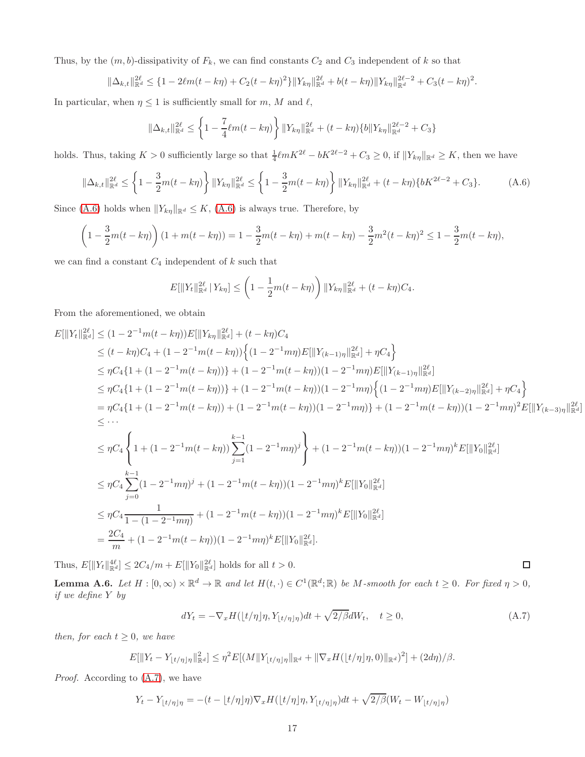Thus, by the  $(m, b)$ -dissipativity of  $F_k$ , we can find constants  $C_2$  and  $C_3$  independent of k so that

$$
\|\Delta_{k,t}\|_{\mathbb{R}^d}^{2\ell} \leq \{1 - 2\ell m(t - k\eta) + C_2(t - k\eta)^2\} \|Y_{k\eta}\|_{\mathbb{R}^d}^{2\ell} + b(t - k\eta) \|Y_{k\eta}\|_{\mathbb{R}^d}^{2\ell - 2} + C_3(t - k\eta)^2
$$

In particular, when  $\eta \leq 1$  is sufficiently small for m, M and  $\ell$ ,

$$
\|\Delta_{k,t}\|_{\mathbb{R}^d}^{2\ell} \le \left\{1 - \frac{7}{4}\ell m(t - k\eta)\right\} \|Y_{k\eta}\|_{\mathbb{R}^d}^{2\ell} + (t - k\eta)\{b\|Y_{k\eta}\|_{\mathbb{R}^d}^{2\ell - 2} + C_3\}
$$

holds. Thus, taking  $K > 0$  sufficiently large so that  $\frac{1}{4}\ell mK^{2\ell} - bK^{2\ell-2} + C_3 \ge 0$ , if  $||Y_{k\eta}||_{\mathbb{R}^d} \ge K$ , then we have

$$
\|\Delta_{k,t}\|_{\mathbb{R}^d}^{2\ell} \le \left\{1 - \frac{3}{2}m(t - k\eta)\right\} \|Y_{k\eta}\|_{\mathbb{R}^d}^{2\ell} \le \left\{1 - \frac{3}{2}m(t - k\eta)\right\} \|Y_{k\eta}\|_{\mathbb{R}^d}^{2\ell} + (t - k\eta)\{bK^{2\ell - 2} + C_3\}.
$$
 (A.6)

Since [\(A.6\)](#page-16-1) holds when  $||Y_{k\eta}||_{\mathbb{R}^d} \leq K$ , (A.6) is always true. Therefore, by

$$
\left(1 - \frac{3}{2}m(t - k\eta)\right)(1 + m(t - k\eta)) = 1 - \frac{3}{2}m(t - k\eta) + m(t - k\eta) - \frac{3}{2}m^2(t - k\eta)^2 \leq 1 - \frac{3}{2}m(t - k\eta),
$$

we can find a constant  $C_4$  independent of  $\boldsymbol{k}$  such that

$$
E[\|Y_t\|_{\mathbb{R}^d}^{2\ell} | Y_{k\eta}] \le \left(1 - \frac{1}{2}m(t - k\eta)\right) \|Y_{k\eta}\|_{\mathbb{R}^d}^{2\ell} + (t - k\eta)C_4.
$$

From the aforementioned, we obtain

$$
E[\|Y_t\|_{\mathbb{R}^d}^{2\ell}] \leq (1 - 2^{-1}m(t - k\eta))E[\|Y_{k\eta}\|_{\mathbb{R}^d}^{2\ell}] + (t - k\eta)C_4
$$
  
\n
$$
\leq (t - k\eta)C_4 + (1 - 2^{-1}m(t - k\eta))\left\{ (1 - 2^{-1}m\eta)E[\|Y_{(k-1)\eta}\|_{\mathbb{R}^d}^{2\ell}] + \eta C_4 \right\}
$$
  
\n
$$
\leq \eta C_4 \{1 + (1 - 2^{-1}m(t - k\eta))\} + (1 - 2^{-1}m(t - k\eta))(1 - 2^{-1}m\eta)E[\|Y_{(k-1)\eta}\|_{\mathbb{R}^d}^{2\ell}]
$$
  
\n
$$
\leq \eta C_4 \{1 + (1 - 2^{-1}m(t - k\eta))\} + (1 - 2^{-1}m(t - k\eta))(1 - 2^{-1}m\eta)\left\{ (1 - 2^{-1}m\eta)E[\|Y_{(k-2)\eta}\|_{\mathbb{R}^d}^{2\ell}] + \eta C_4 \right\}
$$
  
\n
$$
= \eta C_4 \{1 + (1 - 2^{-1}m(t - k\eta)) + (1 - 2^{-1}m(t - k\eta))(1 - 2^{-1}m\eta)\} + (1 - 2^{-1}m(t - k\eta))(1 - 2^{-1}m\eta)^2 E[\|Y_{(k-3)\eta}\|_{\mathbb{R}^d}^{2\ell}]
$$
  
\n
$$
\leq \cdots
$$

$$
\leq \eta C_4 \left\{ 1 + (1 - 2^{-1}m(t - k\eta)) \sum_{j=1}^{k-1} (1 - 2^{-1}m\eta)^j \right\} + (1 - 2^{-1}m(t - k\eta))(1 - 2^{-1}m\eta)^k E[\|Y_0\|_{\mathbb{R}^d}^{2\ell}]
$$
  
\n
$$
\leq \eta C_4 \sum_{j=0}^{k-1} (1 - 2^{-1}m\eta)^j + (1 - 2^{-1}m(t - k\eta))(1 - 2^{-1}m\eta)^k E[\|Y_0\|_{\mathbb{R}^d}^{2\ell}]
$$
  
\n
$$
\leq \eta C_4 \frac{1}{1 - (1 - 2^{-1}m\eta)} + (1 - 2^{-1}m(t - k\eta))(1 - 2^{-1}m\eta)^k E[\|Y_0\|_{\mathbb{R}^d}^{2\ell}]
$$
  
\n
$$
= \frac{2C_4}{m} + (1 - 2^{-1}m(t - k\eta))(1 - 2^{-1}m\eta)^k E[\|Y_0\|_{\mathbb{R}^d}^{2\ell}].
$$

Thus,  $E[\|Y_t\|_{\mathbb{R}^d}^{4\ell}] \leq 2C_4/m + E[\|Y_0\|_{\mathbb{R}^d}^{2\ell}]$  holds for all  $t > 0$ .

<span id="page-16-0"></span>**Lemma A.6.** Let  $H : [0, \infty) \times \mathbb{R}^d \to \mathbb{R}$  and let  $H(t, \cdot) \in C^1(\mathbb{R}^d; \mathbb{R})$  be M-smooth for each  $t \geq 0$ . For fixed  $\eta > 0$ , if we define Y by

$$
dY_t = -\nabla_x H(\lfloor t/\eta \rfloor \eta, Y_{\lfloor t/\eta \rfloor \eta}) dt + \sqrt{2/\beta} dW_t, \quad t \ge 0,
$$
\n(A.7)

then, for each  $t \geq 0$ , we have

$$
E[\|Y_t - Y_{\lfloor t/\eta \rfloor \eta}\|_{\mathbb{R}^d}^2] \leq \eta^2 E[(M\|Y_{\lfloor t/\eta \rfloor \eta}\|_{\mathbb{R}^d} + \|\nabla_x H(\lfloor t/\eta \rfloor \eta, 0)\|_{\mathbb{R}^d})^2] + (2d\eta)/\beta.
$$

Proof. According to  $(A.7)$ , we have

$$
Y_t - Y_{\lfloor t/\eta \rfloor \eta} = -(t - \lfloor t/\eta \rfloor \eta) \nabla_x H(\lfloor t/\eta \rfloor \eta, Y_{\lfloor t/\eta \rfloor \eta}) dt + \sqrt{2/\beta} (W_t - W_{\lfloor t/\eta \rfloor \eta})
$$

<span id="page-16-2"></span> $\Box$ 

<span id="page-16-1"></span>.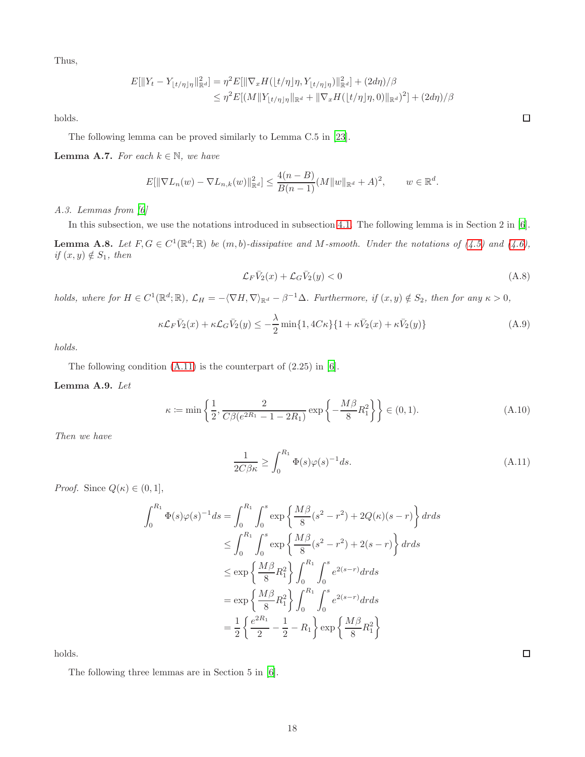Thus,

$$
E[\|Y_t - Y_{\lfloor t/\eta \rfloor \eta} \|_{\mathbb{R}^d}^2] = \eta^2 E[\|\nabla_x H(\lfloor t/\eta \rfloor \eta, Y_{\lfloor t/\eta \rfloor \eta}) \|_{\mathbb{R}^d}^2] + (2d\eta)/\beta
$$
  

$$
\leq \eta^2 E[(M\|Y_{\lfloor t/\eta \rfloor \eta} \|_{\mathbb{R}^d} + \|\nabla_x H(\lfloor t/\eta \rfloor \eta, 0) \|_{\mathbb{R}^d})^2] + (2d\eta)/\beta
$$

holds.

The following lemma can be proved similarly to Lemma C.5 in [\[23\]](#page-20-3).

<span id="page-17-5"></span>**Lemma A.7.** For each  $k \in \mathbb{N}$ , we have

$$
E[\|\nabla L_n(w) - \nabla L_{n,k}(w)\|_{\mathbb{R}^d}^2] \le \frac{4(n-B)}{B(n-1)} (M\|w\|_{\mathbb{R}^d} + A)^2, \qquad w \in \mathbb{R}^d.
$$

A.3. Lemmas from [\[6](#page-19-2)]

<span id="page-17-1"></span>In this subsection, we use the notations introduced in subsection [4.1.](#page-5-6) The following lemma is in Section 2 in [\[6\]](#page-19-2). **Lemma A.8.** Let  $F, G \in C^1(\mathbb{R}^d; \mathbb{R})$  be  $(m, b)$ -dissipative and M-smooth. Under the notations of  $(4.5)$  and  $(4.6)$ , if  $(x, y) \notin S_1$ , then

<span id="page-17-4"></span><span id="page-17-3"></span>
$$
\mathcal{L}_F \bar{V}_2(x) + \mathcal{L}_G \bar{V}_2(y) < 0 \tag{A.8}
$$

holds, where for  $H \in C^1(\mathbb{R}^d;\mathbb{R})$ ,  $\mathcal{L}_H = -\langle \nabla H, \nabla \rangle_{\mathbb{R}^d} - \beta^{-1} \Delta$ . Furthermore, if  $(x, y) \notin S_2$ , then for any  $\kappa > 0$ ,

$$
\kappa \mathcal{L}_F \bar{V}_2(x) + \kappa \mathcal{L}_G \bar{V}_2(y) \le -\frac{\lambda}{2} \min\{1, 4C\kappa\} \{1 + \kappa \bar{V}_2(x) + \kappa \bar{V}_2(y)\}
$$
(A.9)

holds.

The following condition  $(A.11)$  is the counterpart of  $(2.25)$  in  $[6]$ .

<span id="page-17-2"></span>Lemma A.9. Let

$$
\kappa := \min\left\{\frac{1}{2}, \frac{2}{C\beta(e^{2R_1} - 1 - 2R_1)} \exp\left\{-\frac{M\beta}{8}R_1^2\right\}\right\} \in (0, 1).
$$
 (A.10)

Then we have

$$
\frac{1}{2C\beta\kappa} \ge \int_0^{R_1} \Phi(s)\varphi(s)^{-1}ds. \tag{A.11}
$$

*Proof.* Since  $Q(\kappa) \in (0,1]$ ,

$$
\int_{0}^{R_{1}} \Phi(s)\varphi(s)^{-1}ds = \int_{0}^{R_{1}} \int_{0}^{s} \exp\left\{\frac{M\beta}{8}(s^{2} - r^{2}) + 2Q(\kappa)(s - r)\right\} drds
$$
  
\n
$$
\leq \int_{0}^{R_{1}} \int_{0}^{s} \exp\left\{\frac{M\beta}{8}(s^{2} - r^{2}) + 2(s - r)\right\} drds
$$
  
\n
$$
\leq \exp\left\{\frac{M\beta}{8}R_{1}^{2}\right\} \int_{0}^{R_{1}} \int_{0}^{s} e^{2(s - r)} drds
$$
  
\n
$$
= \exp\left\{\frac{M\beta}{8}R_{1}^{2}\right\} \int_{0}^{R_{1}} \int_{0}^{s} e^{2(s - r)} drds
$$
  
\n
$$
= \frac{1}{2} \left\{\frac{e^{2R_{1}}}{2} - \frac{1}{2} - R_{1}\right\} \exp\left\{\frac{M\beta}{8}R_{1}^{2}\right\}
$$

holds.

The following three lemmas are in Section 5 in [\[6\]](#page-19-2).

<span id="page-17-6"></span><span id="page-17-0"></span> $\Box$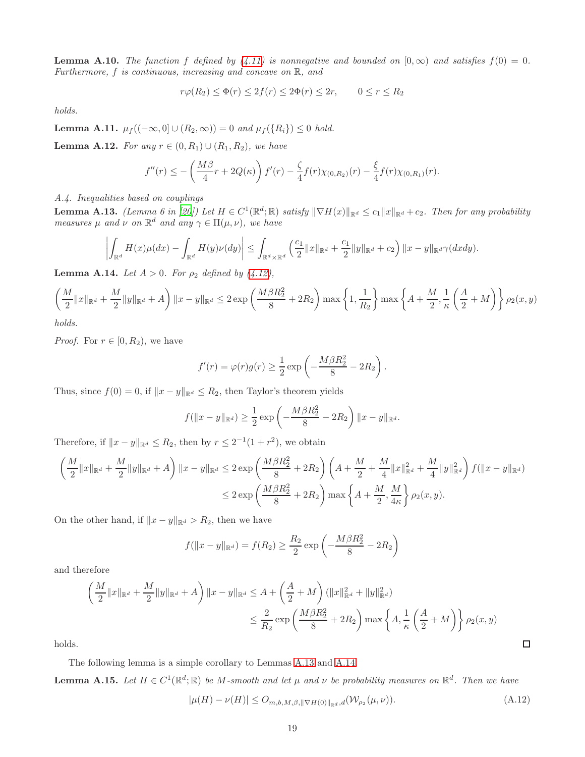<span id="page-18-0"></span>**Lemma A.10.** The function f defined by [\(4.11\)](#page-6-2) is nonnegative and bounded on  $[0, \infty)$  and satisfies  $f(0) = 0$ . Furthermore,  $f$  is continuous, increasing and concave on  $\mathbb{R}$ , and

$$
r\varphi(R_2) \le \Phi(r) \le 2f(r) \le 2\Phi(r) \le 2r, \qquad 0 \le r \le R_2
$$

holds.

<span id="page-18-1"></span>Lemma A.11.  $\mu_f((-\infty,0] \cup (R_2,\infty)) = 0$  and  $\mu_f({R_i}) \leq 0$  hold.

<span id="page-18-2"></span>**Lemma A.12.** For any  $r \in (0, R_1) \cup (R_1, R_2)$ , we have

$$
f''(r) \le -\left(\frac{M\beta}{4}r + 2Q(\kappa)\right)f'(r) - \frac{\zeta}{4}f(r)\chi_{(0,R_2)}(r) - \frac{\xi}{4}f(r)\chi_{(0,R_1)}(r).
$$

A.4. Inequalities based on couplings

<span id="page-18-4"></span>**Lemma A.13.** (Lemma 6 in [\[20](#page-20-1)]) Let  $H \in C^1(\mathbb{R}^d; \mathbb{R})$  satisfy  $\|\nabla H(x)\|_{\mathbb{R}^d} \le c_1 \|x\|_{\mathbb{R}^d} + c_2$ . Then for any probability measures  $\mu$  and  $\nu$  on  $\mathbb{R}^d$  and any  $\gamma \in \Pi(\mu, \nu)$ , we have

$$
\left|\int_{\mathbb{R}^d} H(x)\mu(dx) - \int_{\mathbb{R}^d} H(y)\nu(dy)\right| \leq \int_{\mathbb{R}^d \times \mathbb{R}^d} \left(\frac{c_1}{2} ||x||_{\mathbb{R}^d} + \frac{c_1}{2} ||y||_{\mathbb{R}^d} + c_2\right) ||x - y||_{\mathbb{R}^d} \gamma(dx dy).
$$

<span id="page-18-5"></span>**Lemma A.14.** Let  $A > 0$ . For  $\rho_2$  defined by [\(4.12\)](#page-6-3),

$$
\left(\frac{M}{2}\|x\|_{\mathbb{R}^d} + \frac{M}{2}\|y\|_{\mathbb{R}^d} + A\right) \|x - y\|_{\mathbb{R}^d} \le 2 \exp\left(\frac{M\beta R_2^2}{8} + 2R_2\right) \max\left\{1, \frac{1}{R_2}\right\} \max\left\{A + \frac{M}{2}, \frac{1}{\kappa}\left(\frac{A}{2} + M\right)\right\} \rho_2(x, y)
$$

holds.

*Proof.* For  $r \in [0, R_2)$ , we have

$$
f'(r) = \varphi(r)g(r) \ge \frac{1}{2} \exp\left(-\frac{M\beta R_2^2}{8} - 2R_2\right).
$$

Thus, since  $f(0) = 0$ , if  $||x - y||_{\mathbb{R}^d} \leq R_2$ , then Taylor's theorem yields

$$
f(||x - y||_{\mathbb{R}^d}) \ge \frac{1}{2} \exp\left(-\frac{M\beta R_2^2}{8} - 2R_2\right) ||x - y||_{\mathbb{R}^d}.
$$

Therefore, if  $||x - y||_{\mathbb{R}^d} \leq R_2$ , then by  $r \leq 2^{-1}(1 + r^2)$ , we obtain

$$
\left(\frac{M}{2}\|x\|_{\mathbb{R}^d} + \frac{M}{2}\|y\|_{\mathbb{R}^d} + A\right) \|x - y\|_{\mathbb{R}^d} \le 2 \exp\left(\frac{M\beta R_2^2}{8} + 2R_2\right) \left(A + \frac{M}{2} + \frac{M}{4}\|x\|_{\mathbb{R}^d}^2 + \frac{M}{4}\|y\|_{\mathbb{R}^d}^2\right) f(\|x - y\|_{\mathbb{R}^d})
$$
  

$$
\le 2 \exp\left(\frac{M\beta R_2^2}{8} + 2R_2\right) \max\left\{A + \frac{M}{2}, \frac{M}{4\kappa}\right\} \rho_2(x, y).
$$

On the other hand, if  $||x - y||_{\mathbb{R}^d} > R_2$ , then we have

$$
f(||x - y||_{\mathbb{R}^d}) = f(R_2) \ge \frac{R_2}{2} \exp\left(-\frac{M\beta R_2^2}{8} - 2R_2\right)
$$

and therefore

$$
\left(\frac{M}{2}\|x\|_{\mathbb{R}^d} + \frac{M}{2}\|y\|_{\mathbb{R}^d} + A\right) \|x - y\|_{\mathbb{R}^d} \le A + \left(\frac{A}{2} + M\right) (\|x\|_{\mathbb{R}^d}^2 + \|y\|_{\mathbb{R}^d}^2)
$$
  

$$
\le \frac{2}{R_2} \exp\left(\frac{M\beta R_2^2}{8} + 2R_2\right) \max\left\{A, \frac{1}{\kappa}\left(\frac{A}{2} + M\right)\right\} \rho_2(x, y)
$$

holds.

The following lemma is a simple corollary to Lemmas [A.13](#page-18-4) and [A.14.](#page-18-5)

<span id="page-18-3"></span>**Lemma A.15.** Let  $H \in C^1(\mathbb{R}^d; \mathbb{R})$  be M-smooth and let  $\mu$  and  $\nu$  be probability measures on  $\mathbb{R}^d$ . Then we have

$$
|\mu(H) - \nu(H)| \le O_{m,b,M,\beta, \|\nabla H(0)\|_{\mathbb{R}^d}, d}(\mathcal{W}_{\rho_2}(\mu, \nu)).
$$
\n(A.12)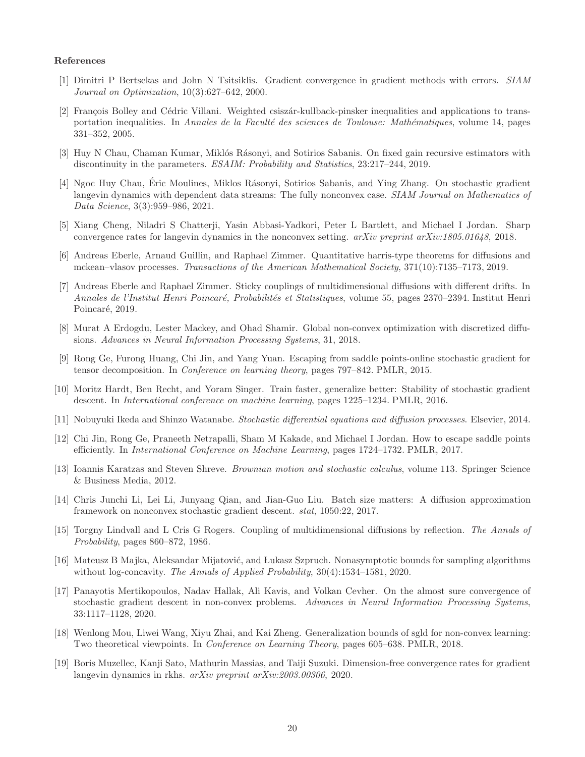#### References

- <span id="page-19-5"></span>[1] Dimitri P Bertsekas and John N Tsitsiklis. Gradient convergence in gradient methods with errors. SIAM Journal on Optimization, 10(3):627–642, 2000.
- <span id="page-19-0"></span>[2] François Bolley and Cédric Villani. Weighted csiszár-kullback-pinsker inequalities and applications to transportation inequalities. In Annales de la Faculté des sciences de Toulouse: Mathématiques, volume 14, pages 331–352, 2005.
- <span id="page-19-6"></span>[3] Huy N Chau, Chaman Kumar, Miklós Rásonyi, and Sotirios Sabanis. On fixed gain recursive estimators with discontinuity in the parameters. ESAIM: Probability and Statistics, 23:217–244, 2019.
- <span id="page-19-7"></span>[4] Ngoc Huy Chau, Éric Moulines, Miklos Rásonyi, Sotirios Sabanis, and Ying Zhang. On stochastic gradient langevin dynamics with dependent data streams: The fully nonconvex case. SIAM Journal on Mathematics of Data Science, 3(3):959–986, 2021.
- <span id="page-19-8"></span>[5] Xiang Cheng, Niladri S Chatterji, Yasin Abbasi-Yadkori, Peter L Bartlett, and Michael I Jordan. Sharp convergence rates for langevin dynamics in the nonconvex setting. arXiv preprint arXiv:1805.01648, 2018.
- <span id="page-19-2"></span>[6] Andreas Eberle, Arnaud Guillin, and Raphael Zimmer. Quantitative harris-type theorems for diffusions and mckean–vlasov processes. Transactions of the American Mathematical Society, 371(10):7135–7173, 2019.
- <span id="page-19-3"></span>[7] Andreas Eberle and Raphael Zimmer. Sticky couplings of multidimensional diffusions with different drifts. In Annales de l'Institut Henri Poincaré, Probabilités et Statistiques, volume 55, pages 2370–2394. Institut Henri Poincaré, 2019.
- <span id="page-19-9"></span>[8] Murat A Erdogdu, Lester Mackey, and Ohad Shamir. Global non-convex optimization with discretized diffusions. Advances in Neural Information Processing Systems, 31, 2018.
- <span id="page-19-10"></span>[9] Rong Ge, Furong Huang, Chi Jin, and Yang Yuan. Escaping from saddle points-online stochastic gradient for tensor decomposition. In Conference on learning theory, pages 797–842. PMLR, 2015.
- <span id="page-19-18"></span>[10] Moritz Hardt, Ben Recht, and Yoram Singer. Train faster, generalize better: Stability of stochastic gradient descent. In International conference on machine learning, pages 1225–1234. PMLR, 2016.
- <span id="page-19-17"></span>[11] Nobuyuki Ikeda and Shinzo Watanabe. Stochastic differential equations and diffusion processes. Elsevier, 2014.
- <span id="page-19-11"></span>[12] Chi Jin, Rong Ge, Praneeth Netrapalli, Sham M Kakade, and Michael I Jordan. How to escape saddle points efficiently. In International Conference on Machine Learning, pages 1724–1732. PMLR, 2017.
- <span id="page-19-4"></span>[13] Ioannis Karatzas and Steven Shreve. Brownian motion and stochastic calculus, volume 113. Springer Science & Business Media, 2012.
- <span id="page-19-12"></span>[14] Chris Junchi Li, Lei Li, Junyang Qian, and Jian-Guo Liu. Batch size matters: A diffusion approximation framework on nonconvex stochastic gradient descent. stat, 1050:22, 2017.
- <span id="page-19-1"></span>[15] Torgny Lindvall and L Cris G Rogers. Coupling of multidimensional diffusions by reflection. The Annals of Probability, pages 860–872, 1986.
- <span id="page-19-13"></span>[16] Mateusz B Majka, Aleksandar Mijatović, and Lukasz Szpruch. Nonasymptotic bounds for sampling algorithms without log-concavity. The Annals of Applied Probability, 30(4):1534–1581, 2020.
- <span id="page-19-14"></span>[17] Panayotis Mertikopoulos, Nadav Hallak, Ali Kavis, and Volkan Cevher. On the almost sure convergence of stochastic gradient descent in non-convex problems. Advances in Neural Information Processing Systems, 33:1117–1128, 2020.
- <span id="page-19-15"></span>[18] Wenlong Mou, Liwei Wang, Xiyu Zhai, and Kai Zheng. Generalization bounds of sgld for non-convex learning: Two theoretical viewpoints. In Conference on Learning Theory, pages 605–638. PMLR, 2018.
- <span id="page-19-16"></span>[19] Boris Muzellec, Kanji Sato, Mathurin Massias, and Taiji Suzuki. Dimension-free convergence rates for gradient langevin dynamics in rkhs. arXiv preprint arXiv:2003.00306, 2020.